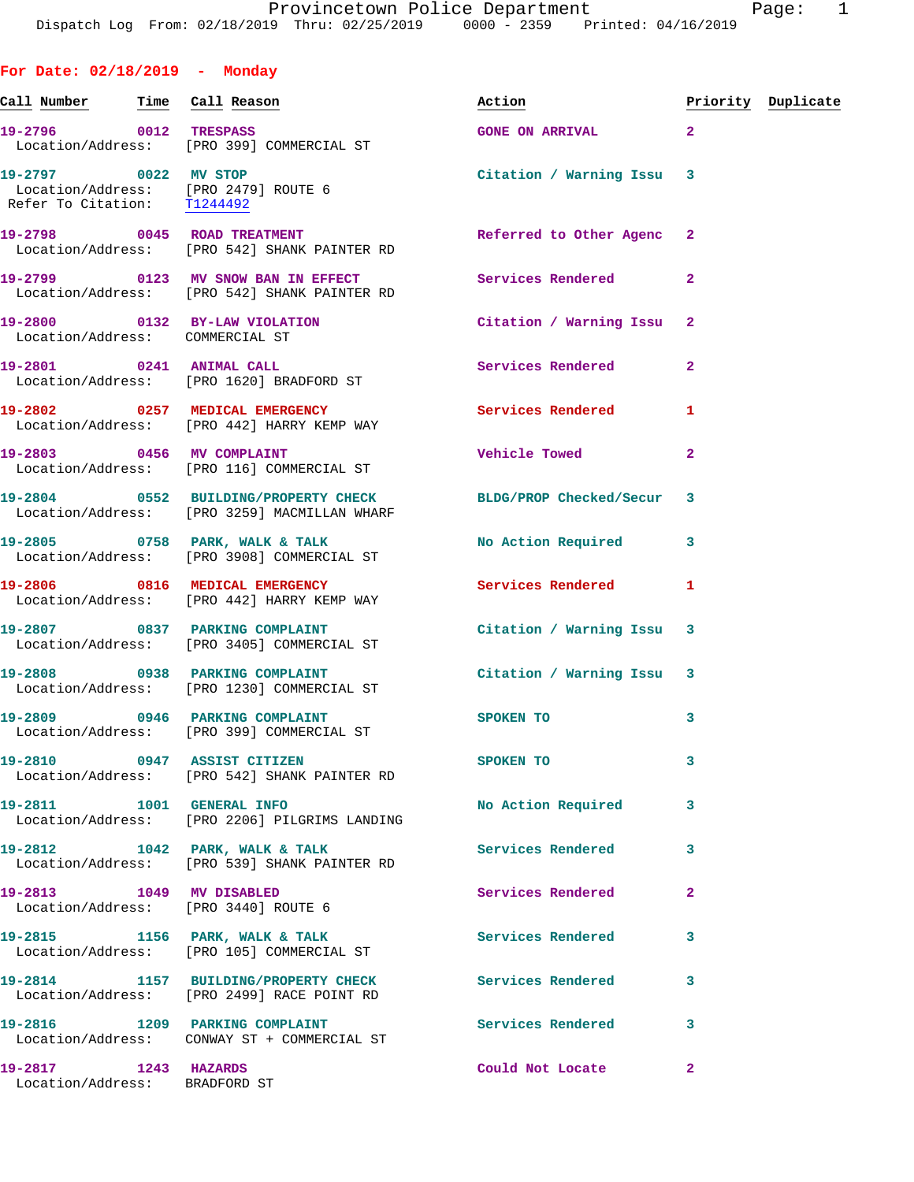Provincetown Police Department The Page: 1 Dispatch Log From: 02/18/2019 Thru: 02/25/2019 0000 - 2359 Printed: 04/16/2019

**For Date: 02/18/2019 - Monday**

| <u>Call Number</u>                                    | Time | Call Reason                                                                                                    | Action                    |                | Priority Duplicate |
|-------------------------------------------------------|------|----------------------------------------------------------------------------------------------------------------|---------------------------|----------------|--------------------|
| 19-2796 0012 TRESPASS                                 |      | Location/Address: [PRO 399] COMMERCIAL ST                                                                      | GONE ON ARRIVAL 2         |                |                    |
| Refer To Citation: T1244492                           |      | 19-2797 0022 MV STOP<br>Location/Address: [PRO 2479] ROUTE 6                                                   | Citation / Warning Issu 3 |                |                    |
|                                                       |      | 19-2798 0045 ROAD TREATMENT<br>Location/Address: [PRO 542] SHANK PAINTER RD                                    | Referred to Other Agenc 2 |                |                    |
|                                                       |      | 19-2799 0123 MV SNOW BAN IN EFFECT<br>Location/Address: [PRO 542] SHANK PAINTER RD                             | <b>Services Rendered</b>  | $\overline{2}$ |                    |
| Location/Address: COMMERCIAL ST                       |      | 19-2800 0132 BY-LAW VIOLATION                                                                                  | Citation / Warning Issu 2 |                |                    |
|                                                       |      | 19-2801 0241 ANIMAL CALL<br>Location/Address: [PRO 1620] BRADFORD ST                                           | Services Rendered         | $\mathbf{2}$   |                    |
|                                                       |      | 19-2802 0257 MEDICAL EMERGENCY<br>Location/Address: [PRO 442] HARRY KEMP WAY                                   | Services Rendered         | 1              |                    |
|                                                       |      | 19-2803 0456 MV COMPLAINT<br>Location/Address: [PRO 116] COMMERCIAL ST                                         | <b>Vehicle Towed</b>      | $\overline{2}$ |                    |
|                                                       |      | 19-2804 0552 BUILDING/PROPERTY CHECK BLDG/PROP Checked/Secur 3<br>Location/Address: [PRO 3259] MACMILLAN WHARF |                           |                |                    |
|                                                       |      | 19-2805 0758 PARK, WALK & TALK<br>Location/Address: [PRO 3908] COMMERCIAL ST                                   | No Action Required        | 3              |                    |
|                                                       |      | 19-2806 0816 MEDICAL EMERGENCY<br>Location/Address: [PRO 442] HARRY KEMP WAY                                   | Services Rendered         | 1              |                    |
|                                                       |      | 19-2807 0837 PARKING COMPLAINT<br>Location/Address: [PRO 3405] COMMERCIAL ST                                   | Citation / Warning Issu 3 |                |                    |
|                                                       |      | 19-2808 0938 PARKING COMPLAINT<br>Location/Address: [PRO 1230] COMMERCIAL ST                                   | Citation / Warning Issu 3 |                |                    |
|                                                       |      | 19-2809 0946 PARKING COMPLAINT<br>Location/Address: [PRO 399] COMMERCIAL ST                                    | <b>SPOKEN TO</b>          | 3              |                    |
| 0947<br>19-2810                                       |      | ASSIST CITIZEN<br>Location/Address: [PRO 542] SHANK PAINTER RD                                                 | SPOKEN TO                 | 3              |                    |
| 19-2811 1001 GENERAL INFO                             |      | Location/Address: [PRO 2206] PILGRIMS LANDING                                                                  | No Action Required        | 3              |                    |
|                                                       |      | 19-2812 1042 PARK, WALK & TALK<br>Location/Address: [PRO 539] SHANK PAINTER RD                                 | Services Rendered         | 3              |                    |
| 19-2813 1049 MV DISABLED                              |      | Location/Address: [PRO 3440] ROUTE 6                                                                           | Services Rendered         | 2              |                    |
|                                                       |      | 19-2815 1156 PARK, WALK & TALK<br>Location/Address: [PRO 105] COMMERCIAL ST                                    | Services Rendered         | 3              |                    |
|                                                       |      | 19-2814 1157 BUILDING/PROPERTY CHECK<br>Location/Address: [PRO 2499] RACE POINT RD                             | <b>Services Rendered</b>  | 3              |                    |
| Location/Address:                                     |      | 19-2816 1209 PARKING COMPLAINT<br>CONWAY ST + COMMERCIAL ST                                                    | <b>Services Rendered</b>  | 3              |                    |
| 19-2817 1243 HAZARDS<br>Location/Address: BRADFORD ST |      |                                                                                                                | Could Not Locate          | $\mathbf{2}$   |                    |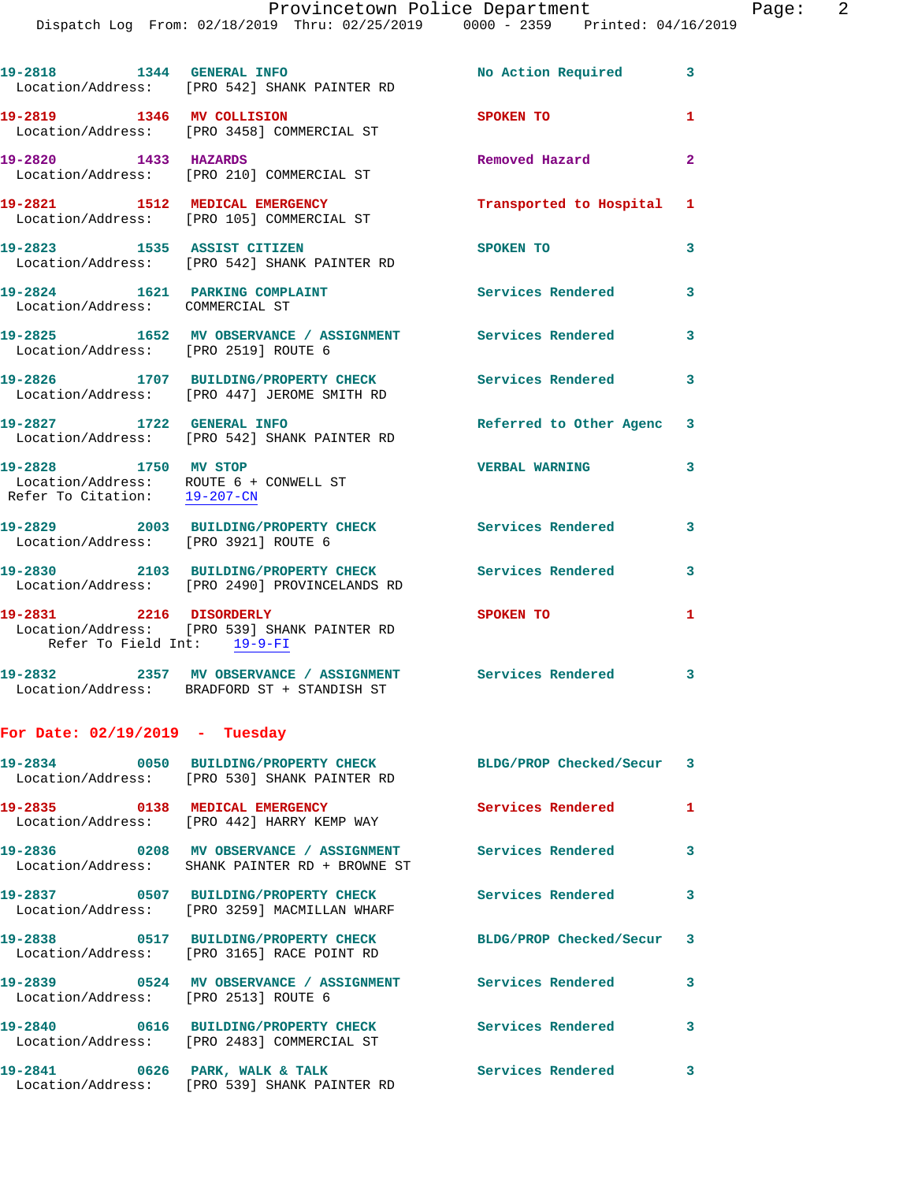| 19-2818   1344   GENERAL INFO                        | Location/Address: [PRO 542] SHANK PAINTER RD                                                                   | No Action Required 3      |                         |
|------------------------------------------------------|----------------------------------------------------------------------------------------------------------------|---------------------------|-------------------------|
|                                                      | 19-2819 1346 MV COLLISION<br>Location/Address: [PRO 3458] COMMERCIAL ST                                        | SPOKEN TO                 | 1                       |
| 19-2820 1433 HAZARDS                                 | Location/Address: [PRO 210] COMMERCIAL ST                                                                      | Removed Hazard            | $\overline{2}$          |
|                                                      | 19-2821 1512 MEDICAL EMERGENCY<br>Location/Address: [PRO 105] COMMERCIAL ST                                    | Transported to Hospital   | $\mathbf{1}$            |
| 19-2823 1535 ASSIST CITIZEN                          | Location/Address: [PRO 542] SHANK PAINTER RD                                                                   | SPOKEN TO                 | 3                       |
| Location/Address: COMMERCIAL ST                      | 19-2824 1621 PARKING COMPLAINT                                                                                 | <b>Services Rendered</b>  | 3                       |
| Location/Address: [PRO 2519] ROUTE 6                 | 19-2825 1652 MV OBSERVANCE / ASSIGNMENT Services Rendered 3                                                    |                           |                         |
|                                                      | 19-2826 1707 BUILDING/PROPERTY CHECK<br>Location/Address: [PRO 447] JEROME SMITH RD                            | <b>Services Rendered</b>  | $\overline{\mathbf{3}}$ |
| 19-2827 1722 GENERAL INFO                            | Location/Address: [PRO 542] SHANK PAINTER RD                                                                   | Referred to Other Agenc 3 |                         |
| 19-2828 1750 MV STOP<br>Refer To Citation: 19-207-CN | Location/Address: ROUTE 6 + CONWELL ST                                                                         | <b>VERBAL WARNING</b>     | 3                       |
| Location/Address: [PRO 3921] ROUTE 6                 | 19-2829 2003 BUILDING/PROPERTY CHECK Services Rendered                                                         |                           | 3                       |
|                                                      | 19-2830 2103 BUILDING/PROPERTY CHECK Services Rendered 3<br>Location/Address: [PRO 2490] PROVINCELANDS RD      |                           |                         |
| Refer To Field Int: 19-9-FI                          | 19-2831 2216 DISORDERLY<br>Location/Address: [PRO 539] SHANK PAINTER RD                                        | <b>SPOKEN TO</b>          | 1                       |
|                                                      | 19-2832 2357 MV OBSERVANCE / ASSIGNMENT Services Rendered 3<br>Location/Address: BRADFORD ST + STANDISH ST     |                           |                         |
| For Date: $02/19/2019$ - Tuesday                     |                                                                                                                |                           |                         |
|                                                      | 19-2834 0050 BUILDING/PROPERTY CHECK BLDG/PROP Checked/Secur 3<br>Location/Address: [PRO 530] SHANK PAINTER RD |                           |                         |
|                                                      | 19-2835 0138 MEDICAL EMERGENCY<br>Location/Address: [PRO 442] HARRY KEMP WAY                                   | <b>Services Rendered</b>  | $\mathbf{1}$            |
|                                                      | 19-2836 0208 MV OBSERVANCE / ASSIGNMENT<br>Location/Address: SHANK PAINTER RD + BROWNE ST                      | <b>Services Rendered</b>  | $\overline{\mathbf{3}}$ |
|                                                      | 19-2837 0507 BUILDING/PROPERTY CHECK<br>Location/Address: [PRO 3259] MACMILLAN WHARF                           | <b>Services Rendered</b>  | $\mathbf{3}$            |
|                                                      | 19-2838 0517 BUILDING/PROPERTY CHECK BLDG/PROP Checked/Secur 3<br>Location/Address: [PRO 3165] RACE POINT RD   |                           |                         |
| Location/Address: [PRO 2513] ROUTE 6                 | 19-2839       0524   MV OBSERVANCE / ASSIGNMENT      Services Rendered                                         |                           | $\mathbf{3}$            |
|                                                      | 19-2840 0616 BUILDING/PROPERTY CHECK Services Rendered 3<br>Location/Address: [PRO 2483] COMMERCIAL ST         |                           |                         |
|                                                      | 19-2841 0626 PARK, WALK & TALK<br>Location/Address: [PRO 539] SHANK PAINTER RD                                 | Services Rendered         | 3                       |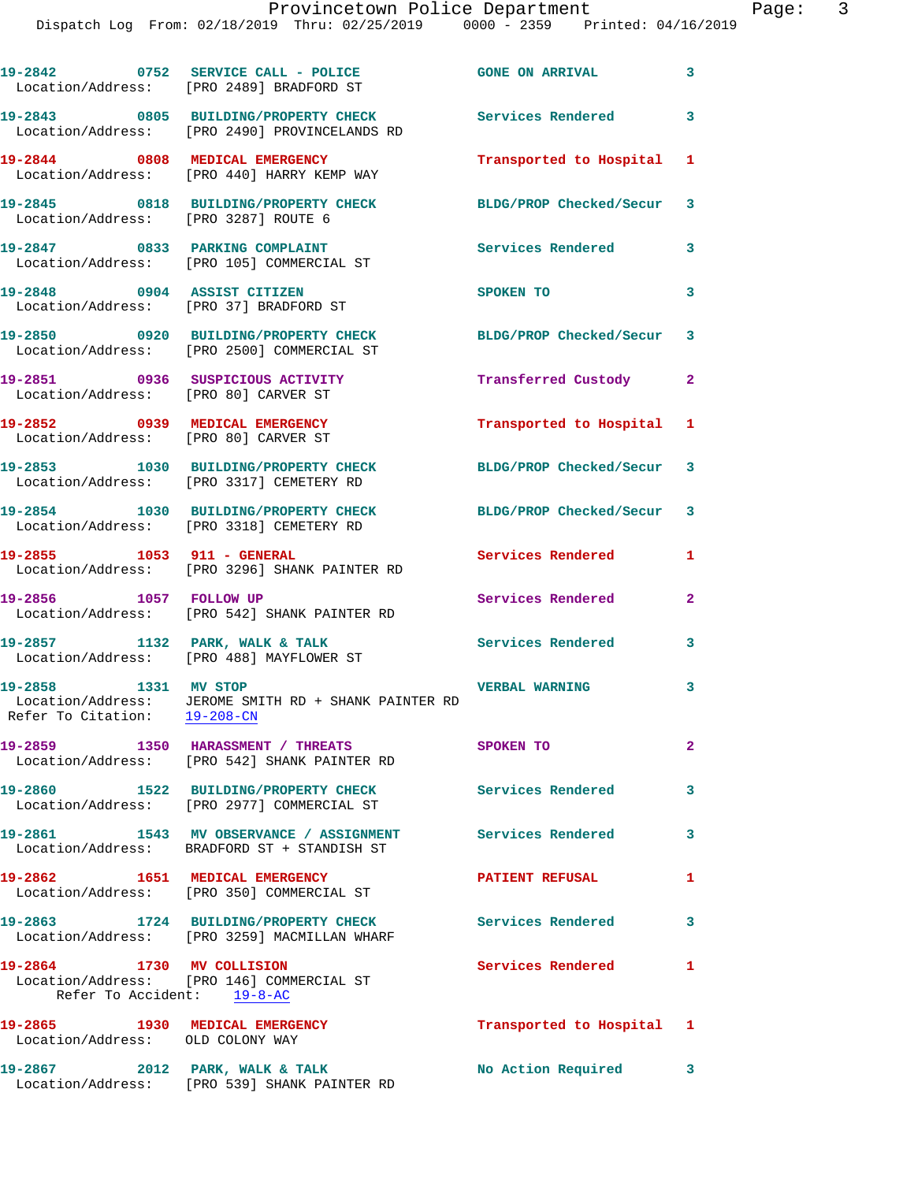|                                                                        | 19-2842 0752 SERVICE CALL - POLICE 60NE ON ARRIVAL<br>Location/Address: [PRO 2489] BRADFORD ST           | $\sim$ 3                  |                         |
|------------------------------------------------------------------------|----------------------------------------------------------------------------------------------------------|---------------------------|-------------------------|
|                                                                        | 19-2843 0805 BUILDING/PROPERTY CHECK<br>Location/Address: [PRO 2490] PROVINCELANDS RD                    | Services Rendered         | 3                       |
|                                                                        | 19-2844 0808 MEDICAL EMERGENCY<br>Location/Address: [PRO 440] HARRY KEMP WAY                             | Transported to Hospital 1 |                         |
| Location/Address: [PRO 3287] ROUTE 6                                   | 19-2845 0818 BUILDING/PROPERTY CHECK                                                                     | BLDG/PROP Checked/Secur 3 |                         |
| 19-2847 0833 PARKING COMPLAINT                                         | Location/Address: [PRO 105] COMMERCIAL ST                                                                | Services Rendered 3       |                         |
| 19-2848 0904 ASSIST CITIZEN<br>Location/Address: [PRO 37] BRADFORD ST  |                                                                                                          | SPOKEN TO                 | 3                       |
|                                                                        | 19-2850 0920 BUILDING/PROPERTY CHECK<br>Location/Address: [PRO 2500] COMMERCIAL ST                       | BLDG/PROP Checked/Secur 3 |                         |
| Location/Address: [PRO 80] CARVER ST                                   | 19-2851 0936 SUSPICIOUS ACTIVITY                                                                         | Transferred Custody       | $\mathbf{2}$            |
| 19-2852 0939 MEDICAL EMERGENCY<br>Location/Address: [PRO 80] CARVER ST |                                                                                                          | Transported to Hospital 1 |                         |
|                                                                        | 19-2853 1030 BUILDING/PROPERTY CHECK<br>Location/Address: [PRO 3317] CEMETERY RD                         | BLDG/PROP Checked/Secur 3 |                         |
|                                                                        | 19-2854 1030 BUILDING/PROPERTY CHECK<br>Location/Address: [PRO 3318] CEMETERY RD                         | BLDG/PROP Checked/Secur 3 |                         |
| 19-2855 1053 911 - GENERAL                                             | Location/Address: [PRO 3296] SHANK PAINTER RD                                                            | Services Rendered         | $\mathbf{1}$            |
|                                                                        | 19-2856 1057 FOLLOW UP<br>Location/Address: [PRO 542] SHANK PAINTER RD                                   | Services Rendered         | $\mathbf{2}$            |
| 19-2857 1132 PARK, WALK & TALK                                         | Location/Address: [PRO 488] MAYFLOWER ST                                                                 | <b>Services Rendered</b>  | 3                       |
| 19-2858 1331 MV STOP<br>Refer To Citation: 19-208-CN                   | Location/Address: JEROME SMITH RD + SHANK PAINTER RD                                                     | <b>VERBAL WARNING</b>     | 3                       |
|                                                                        | 19-2859 1350 HARASSMENT / THREATS<br>Location/Address: [PRO 542] SHANK PAINTER RD                        | <b>SPOKEN TO</b>          | $\overline{2}$          |
|                                                                        | 19-2860 1522 BUILDING/PROPERTY CHECK<br>Location/Address: [PRO 2977] COMMERCIAL ST                       | <b>Services Rendered</b>  | $\overline{\mathbf{3}}$ |
|                                                                        | 19-2861 1543 MV OBSERVANCE / ASSIGNMENT Services Rendered<br>Location/Address: BRADFORD ST + STANDISH ST |                           | $\overline{\mathbf{3}}$ |
|                                                                        | 19-2862 1651 MEDICAL EMERGENCY<br>Location/Address: [PRO 350] COMMERCIAL ST                              | <b>PATIENT REFUSAL</b>    | $\mathbf{1}$            |
|                                                                        | 19-2863 1724 BUILDING/PROPERTY CHECK Services Rendered<br>Location/Address: [PRO 3259] MACMILLAN WHARF   |                           | 3                       |
| 19-2864 1730 MV COLLISION<br>Refer To Accident: 19-8-AC                | Location/Address: [PRO 146] COMMERCIAL ST                                                                | <b>Services Rendered</b>  | 1                       |
| 19-2865 1930 MEDICAL EMERGENCY<br>Location/Address: OLD COLONY WAY     |                                                                                                          | Transported to Hospital 1 |                         |
| 19-2867                                                                | 2012 PARK, WALK & TALK                                                                                   | No Action Required 3      |                         |

Location/Address: [PRO 539] SHANK PAINTER RD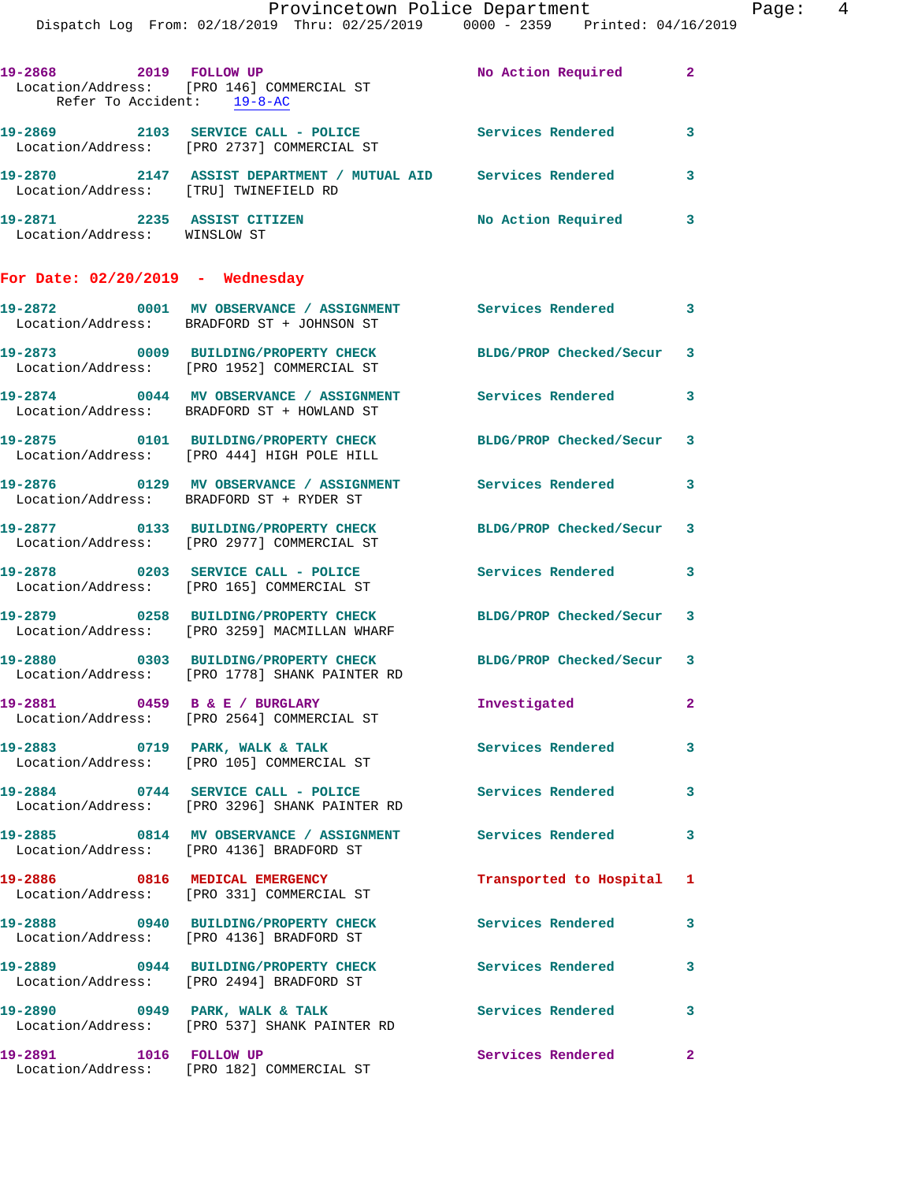|                                                             | Provincetown Police Department<br>Dispatch Log From: 02/18/2019 Thru: 02/25/2019 0000 - 2359 Printed: 04/16/2019         |                           |                |
|-------------------------------------------------------------|--------------------------------------------------------------------------------------------------------------------------|---------------------------|----------------|
| 19-2868 2019 FOLLOW UP<br>Refer To Accident: 19-8-AC        | Location/Address: [PRO 146] COMMERCIAL ST                                                                                | No Action Required        | $\mathbf{2}$   |
|                                                             | 19-2869 2103 SERVICE CALL - POLICE Services Rendered<br>Location/Address: [PRO 2737] COMMERCIAL ST                       |                           | 3              |
| Location/Address: [TRU] TWINEFIELD RD                       | 19-2870 2147 ASSIST DEPARTMENT / MUTUAL AID Services Rendered                                                            |                           | 3              |
| 19-2871 2235 ASSIST CITIZEN<br>Location/Address: WINSLOW ST |                                                                                                                          | No Action Required        | 3              |
| For Date: $02/20/2019$ - Wednesday                          |                                                                                                                          |                           |                |
|                                                             | 19-2872      0001   MV OBSERVANCE / ASSIGNMENT       Services Rendered<br>  Location/Address:   BRADFORD ST + JOHNSON ST |                           | 3              |
|                                                             | 19-2873 0009 BUILDING/PROPERTY CHECK<br>Location/Address: [PRO 1952] COMMERCIAL ST                                       | BLDG/PROP Checked/Secur   | 3              |
|                                                             | 19-2874 0044 MV OBSERVANCE / ASSIGNMENT Services Rendered<br>Location/Address: BRADFORD ST + HOWLAND ST                  |                           | 3              |
|                                                             | 19-2875 0101 BUILDING/PROPERTY CHECK<br>Location/Address: [PRO 444] HIGH POLE HILL                                       | BLDG/PROP Checked/Secur   | 3              |
|                                                             | 19-2876  0129 MV OBSERVANCE / ASSIGNMENT Services Rendered<br>Location/Address: BRADFORD ST + RYDER ST                   |                           | 3              |
|                                                             | 19-2877 0133 BUILDING/PROPERTY CHECK<br>Location/Address: [PRO 2977] COMMERCIAL ST                                       | BLDG/PROP Checked/Secur   | 3              |
|                                                             | 19-2878 0203 SERVICE CALL - POLICE<br>Location/Address: [PRO 165] COMMERCIAL ST                                          | Services Rendered         | 3              |
|                                                             | 19-2879 0258 BUILDING/PROPERTY CHECK BLDG/PROP Checked/Secur<br>Location/Address: [PRO 3259] MACMILLAN WHARF             |                           | 3              |
| 19-2880                                                     | 0303 BUILDING/PROPERTY CHECK BLDG/PROP Checked/Secur 3<br>Location/Address: [PRO 1778] SHANK PAINTER RD                  |                           |                |
|                                                             | 19-2881 0459 B & E / BURGLARY<br>Location/Address: [PRO 2564] COMMERCIAL ST                                              | Investigated              | $\overline{2}$ |
|                                                             | 19-2883      0719   PARK, WALK & TALK<br>  Location/Address:   [PRO 105] COMMERCIAL ST                                   | Services Rendered         | 3              |
|                                                             | 19-2884 0744 SERVICE CALL - POLICE<br>Location/Address: [PRO 3296] SHANK PAINTER RD                                      | <b>Services Rendered</b>  | 3              |
|                                                             | 19-2885 0814 MV OBSERVANCE / ASSIGNMENT Services Rendered<br>Location/Address: [PRO 4136] BRADFORD ST                    |                           | 3              |
|                                                             | 19-2886 0816 MEDICAL EMERGENCY<br>Location/Address: [PRO 331] COMMERCIAL ST                                              | Transported to Hospital 1 |                |
|                                                             | 19-2888 0940 BUILDING/PROPERTY CHECK<br>Location/Address: [PRO 4136] BRADFORD ST                                         | Services Rendered         | 3              |
|                                                             | 19-2889 0944 BUILDING/PROPERTY CHECK<br>Location/Address: [PRO 2494] BRADFORD ST                                         | Services Rendered         | 3              |
|                                                             | 19-2890 0949 PARK, WALK & TALK<br>Location/Address: [PRO 537] SHANK PAINTER RD                                           | Services Rendered         | 3              |
| 19-2891 1016 FOLLOW UP                                      | Location/Address: [PRO 182] COMMERCIAL ST                                                                                | Services Rendered         | $\mathbf{2}$   |

Page: 4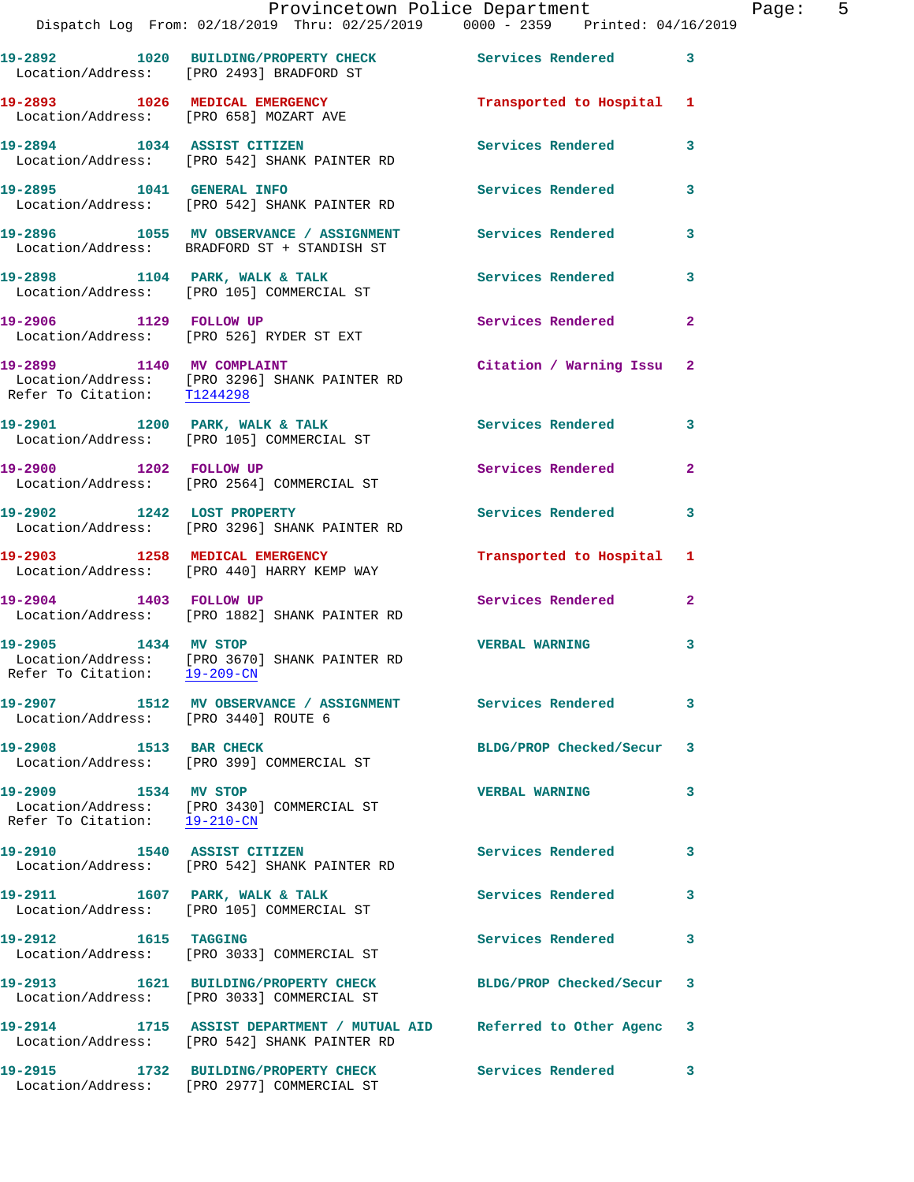|                                      | Dispatch Log From: 02/18/2019 Thru: 02/25/2019 0000 - 2359 Printed: 04/16/2019                                        | Provincetown Police Department | Page: 5      |
|--------------------------------------|-----------------------------------------------------------------------------------------------------------------------|--------------------------------|--------------|
|                                      | 19-2892 1020 BUILDING/PROPERTY CHECK Services Rendered 3<br>Location/Address: [PRO 2493] BRADFORD ST                  |                                |              |
|                                      | 19-2893 1026 MEDICAL EMERGENCY Transported to Hospital 1<br>Location/Address: [PRO 658] MOZART AVE                    |                                |              |
|                                      | 19-2894 1034 ASSIST CITIZEN<br>Location/Address: [PRO 542] SHANK PAINTER RD                                           | Services Rendered 3            |              |
|                                      | 19-2895 1041 GENERAL INFO 2001 Services Rendered 3<br>Location/Address: [PRO 542] SHANK PAINTER RD                    |                                |              |
|                                      | 19-2896 1055 MV OBSERVANCE / ASSIGNMENT Services Rendered 3<br>Location/Address: BRADFORD ST + STANDISH ST            |                                |              |
|                                      | 19-2898 1104 PARK, WALK & TALK 1998 Services Rendered<br>Location/Address: [PRO 105] COMMERCIAL ST                    |                                | 3            |
|                                      | 19-2906 1129 FOLLOW UP<br>Location/Address: [PRO 526] RYDER ST EXT                                                    | Services Rendered 2            |              |
| Refer To Citation: T1244298          | 19-2899 1140 MV COMPLAINT<br>Location/Address: [PRO 3296] SHANK PAINTER RD                                            | Citation / Warning Issu 2      |              |
|                                      | 19-2901 1200 PARK, WALK & TALK 1998 Services Rendered 3<br>Location/Address: [PRO 105] COMMERCIAL ST                  |                                |              |
|                                      | 19-2900 1202 FOLLOW UP<br>Location/Address: [PRO 2564] COMMERCIAL ST                                                  | Services Rendered              | $\mathbf{2}$ |
|                                      | 19-2902 1242 LOST PROPERTY<br>Location/Address: [PRO 3296] SHANK PAINTER RD                                           | Services Rendered 3            |              |
|                                      | 19-2903 1258 MEDICAL EMERGENCY<br>Location/Address: [PRO 440] HARRY KEMP WAY                                          | Transported to Hospital 1      |              |
|                                      | 19-2904 1403 FOLLOW UP<br>Location/Address: [PRO 1882] SHANK PAINTER RD                                               | Services Rendered              | $\mathbf{2}$ |
| Refer To Citation: 19-209-CN         | 19-2905 1434 MV STOP<br>Location/Address: [PRO 3670] SHANK PAINTER RD                                                 | <b>VERBAL WARNING</b>          | 3            |
| Location/Address: [PRO 3440] ROUTE 6 | 19-2907 1512 MV OBSERVANCE / ASSIGNMENT Services Rendered 3                                                           |                                |              |
| 19-2908 1513 BAR CHECK               | Location/Address: [PRO 399] COMMERCIAL ST                                                                             | BLDG/PROP Checked/Secur        | 3            |
| 19-2909 1534 MV STOP                 | Location/Address: [PRO 3430] COMMERCIAL ST<br>Refer To Citation: $\frac{19-210-CN}{\pi}$                              | <b>VERBAL WARNING</b>          | 3            |
|                                      | 19-2910 1540 ASSIST CITIZEN<br>Location/Address: [PRO 542] SHANK PAINTER RD                                           | Services Rendered              | 3            |
|                                      | 19-2911 1607 PARK, WALK & TALK<br>Location/Address: [PRO 105] COMMERCIAL ST                                           | Services Rendered              | 3            |
| 19-2912 1615 TAGGING                 | Location/Address: [PRO 3033] COMMERCIAL ST                                                                            | Services Rendered              | 3            |
|                                      | 19-2913 1621 BUILDING/PROPERTY CHECK BLDG/PROP Checked/Secur 3<br>Location/Address: [PRO 3033] COMMERCIAL ST          |                                |              |
|                                      | 19-2914 1715 ASSIST DEPARTMENT / MUTUAL AID Referred to Other Agenc 3<br>Location/Address: [PRO 542] SHANK PAINTER RD |                                |              |
|                                      |                                                                                                                       |                                |              |

Location/Address: [PRO 2977] COMMERCIAL ST

**19-2915 1732 BUILDING/PROPERTY CHECK Services Rendered 3**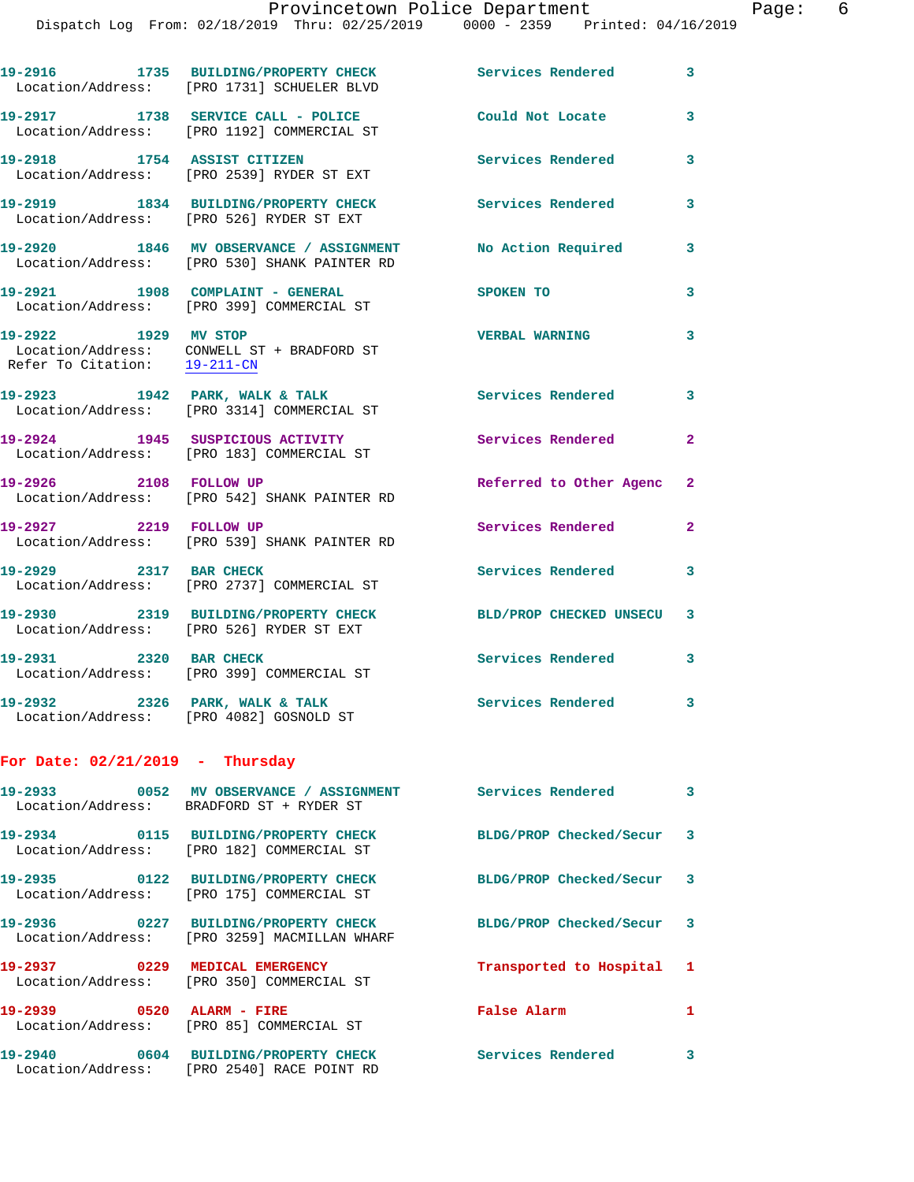Dispatch Log From: 02/18/2019 Thru: 02/25/2019 0000 - 2359 Printed: 04/16/2019

|                                                      | DISPACCH HOG FIOM, 02/10/2019 INIU, 02/20/2019 - 0000 - 2009 - PIINCEO, 04/10/                             |                           |                         |
|------------------------------------------------------|------------------------------------------------------------------------------------------------------------|---------------------------|-------------------------|
|                                                      | 19-2916 1735 BUILDING/PROPERTY CHECK Services Rendered<br>Location/Address: [PRO 1731] SCHUELER BLVD       |                           | $\overline{\mathbf{3}}$ |
|                                                      | 19-2917 1738 SERVICE CALL - POLICE<br>Location/Address: [PRO 1192] COMMERCIAL ST                           | Could Not Locate          | $\mathbf{3}$            |
|                                                      | 19-2918 1754 ASSIST CITIZEN<br>Location/Address: [PRO 2539] RYDER ST EXT                                   | <b>Services Rendered</b>  | $\mathbf{3}$            |
|                                                      | 19-2919 1834 BUILDING/PROPERTY CHECK<br>Location/Address: [PRO 526] RYDER ST EXT                           | <b>Services Rendered</b>  | $\mathbf{3}$            |
|                                                      | 19-2920 1846 MV OBSERVANCE / ASSIGNMENT No Action Required<br>Location/Address: [PRO 530] SHANK PAINTER RD |                           | $\mathbf{3}$            |
|                                                      | 19-2921 1908 COMPLAINT - GENERAL<br>Location/Address: [PRO 399] COMMERCIAL ST                              | SPOKEN TO                 | $\mathbf{3}$            |
| 19-2922 1929 MV STOP<br>Refer To Citation: 19-211-CN | Location/Address: CONWELL ST + BRADFORD ST                                                                 | <b>VERBAL WARNING</b>     | $\overline{\mathbf{3}}$ |
|                                                      | 19-2923 1942 PARK, WALK & TALK<br>Location/Address: [PRO 3314] COMMERCIAL ST                               | Services Rendered         | $\mathbf{3}$            |
|                                                      | 19-2924 1945 SUSPICIOUS ACTIVITY<br>Location/Address: [PRO 183] COMMERCIAL ST                              | <b>Services Rendered</b>  | $\overline{2}$          |
| 19-2926 2108 FOLLOW UP                               | Location/Address: [PRO 542] SHANK PAINTER RD                                                               | Referred to Other Agenc 2 |                         |

**19-2927 2219 FOLLOW UP Services Rendered 2**  Location/Address: [PRO 539] SHANK PAINTER RD

19-2929 2317 BAR CHECK Services Rendered 3 Location/Address: [PRO 2737] COMMERCIAL ST

**19-2930 2319 BUILDING/PROPERTY CHECK BLD/PROP CHECKED UNSECU 3**  Location/Address: [PRO 526] RYDER ST EXT

**19-2931 2320 BAR CHECK Services Rendered 3**  Location/Address: [PRO 399] COMMERCIAL ST

19-2932 2326 PARK, WALK & TALK **Services Rendered** 3 Location/Address: [PRO 4082] GOSNOLD ST

## **For Date: 02/21/2019 - Thursday**

|                                 | Location/Address: BRADFORD ST + RYDER ST                                            | <b>Services Rendered</b>  | $\overline{\mathbf{3}}$ |
|---------------------------------|-------------------------------------------------------------------------------------|---------------------------|-------------------------|
|                                 | 19-2934   0115 BUILDING/PROPERTY CHECK<br>Location/Address: [PRO 182] COMMERCIAL ST | BLDG/PROP Checked/Secur 3 |                         |
|                                 | Location/Address: [PRO 175] COMMERCIAL ST                                           | BLDG/PROP Checked/Secur 3 |                         |
| Location/Address:               | [PRO 3259] MACMILLAN WHARF                                                          | BLDG/PROP Checked/Secur 3 |                         |
| 19-2937  0229 MEDICAL EMERGENCY | Location/Address: [PRO 350] COMMERCIAL ST                                           | Transported to Hospital 1 |                         |
|                                 | Location/Address: [PRO 85] COMMERCIAL ST                                            | <b>False Alarm</b>        | $\mathbf{1}$            |
| Location/Address:               | [PRO 2540] RACE POINT RD                                                            | <b>Services Rendered</b>  | 3                       |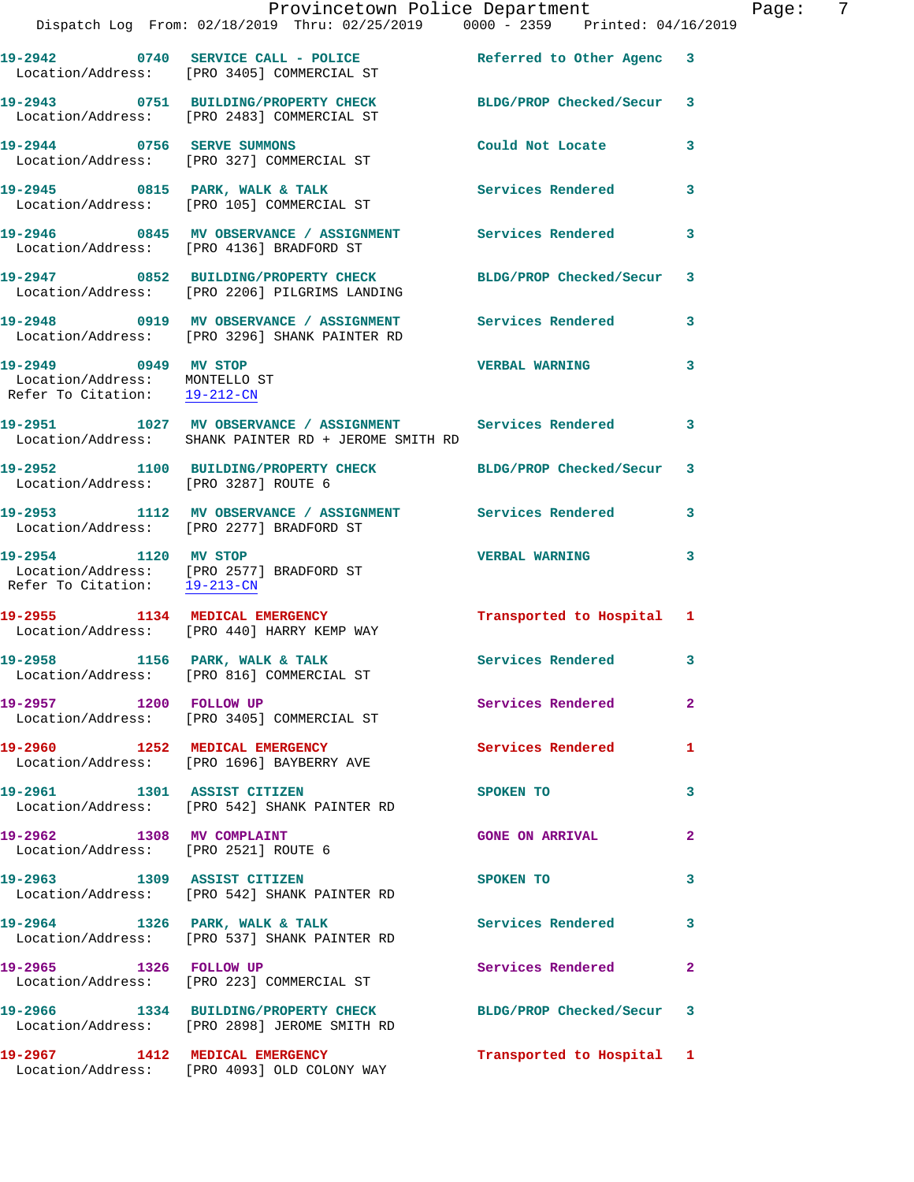|                                                                                       | Provincetown Police Department<br>Dispatch Log From: 02/18/2019 Thru: 02/25/2019 0000 - 2359 Printed: 04/16/2019                |                            |                |
|---------------------------------------------------------------------------------------|---------------------------------------------------------------------------------------------------------------------------------|----------------------------|----------------|
|                                                                                       | 19-2942 0740 SERVICE CALL - POLICE Referred to Other Agenc 3<br>Location/Address: [PRO 3405] COMMERCIAL ST                      |                            |                |
|                                                                                       | 19-2943 0751 BUILDING/PROPERTY CHECK<br>Location/Address: [PRO 2483] COMMERCIAL ST                                              | BLDG/PROP Checked/Secur 3  |                |
|                                                                                       | 19-2944 0756 SERVE SUMMONS<br>Location/Address: [PRO 327] COMMERCIAL ST                                                         | Could Not Locate           | 3              |
|                                                                                       | 19-2945 0815 PARK, WALK & TALK<br>Location/Address: [PRO 105] COMMERCIAL ST                                                     | <b>Services Rendered</b>   | 3              |
|                                                                                       | 19-2946 6845 MV OBSERVANCE / ASSIGNMENT Services Rendered<br>Location/Address: [PRO 4136] BRADFORD ST                           |                            | 3              |
|                                                                                       | 19-2947 0852 BUILDING/PROPERTY CHECK BLDG/PROP Checked/Secur<br>Location/Address: [PRO 2206] PILGRIMS LANDING                   |                            | 3              |
|                                                                                       | 19-2948 0919 MV OBSERVANCE / ASSIGNMENT Services Rendered<br>Location/Address: [PRO 3296] SHANK PAINTER RD                      |                            | 3              |
| 19-2949 0949 MV STOP<br>Location/Address: MONTELLO ST<br>Refer To Citation: 19-212-CM |                                                                                                                                 | <b>VERBAL WARNING</b>      | 3              |
|                                                                                       | 19-2951      1027   MV OBSERVANCE / ASSIGNMENT      Services Rendered<br>Location/Address:   SHANK PAINTER RD + JEROME SMITH RD |                            | 3              |
| Location/Address: [PRO 3287] ROUTE 6                                                  | 19-2952 1100 BUILDING/PROPERTY CHECK BLDG/PROP Checked/Secur                                                                    |                            | 3              |
|                                                                                       | 19-2953 1112 MV OBSERVANCE / ASSIGNMENT Services Rendered<br>Location/Address: [PRO 2277] BRADFORD ST                           |                            | 3              |
| 19-2954 1120 MV STOP<br>Refer To Citation: 19-213-CN                                  | Location/Address: [PRO 2577] BRADFORD ST                                                                                        | <b>VERBAL WARNING</b>      | 3              |
|                                                                                       | 19-2955 1134 MEDICAL EMERGENCY<br>Location/Address: [PRO 440] HARRY KEMP WAY                                                    | Transported to Hospital 1  |                |
|                                                                                       | $19-2958$ 1156 PARK, WALK & TALK<br>Location/Address: [PRO 816] COMMERCIAL ST                                                   | <b>Services Rendered</b> 3 |                |
| 19-2957 1200 FOLLOW UP                                                                | Location/Address: [PRO 3405] COMMERCIAL ST                                                                                      | Services Rendered          | $\overline{2}$ |
|                                                                                       | 19-2960 1252 MEDICAL EMERGENCY<br>Location/Address: [PRO 1696] BAYBERRY AVE                                                     | Services Rendered          | 1              |
|                                                                                       | 19-2961 1301 ASSIST CITIZEN<br>Location/Address: [PRO 542] SHANK PAINTER RD                                                     | SPOKEN TO                  | 3              |
| 19-2962 1308 MV COMPLAINT<br>Location/Address: [PRO 2521] ROUTE 6                     |                                                                                                                                 | <b>GONE ON ARRIVAL</b>     | $\overline{2}$ |
|                                                                                       | 19-2963 1309 ASSIST CITIZEN<br>Location/Address: [PRO 542] SHANK PAINTER RD                                                     | SPOKEN TO                  | 3              |
|                                                                                       | 19-2964 1326 PARK, WALK & TALK<br>Location/Address: [PRO 537] SHANK PAINTER RD                                                  | <b>Services Rendered</b>   | 3              |
| 19-2965 1326 FOLLOW UP                                                                | Location/Address: [PRO 223] COMMERCIAL ST                                                                                       | Services Rendered          | $\mathbf{2}$   |
|                                                                                       | 19-2966 1334 BUILDING/PROPERTY CHECK BLDG/PROP Checked/Secur<br>Location/Address: [PRO 2898] JEROME SMITH RD                    |                            | 3              |
|                                                                                       | 19-2967 1412 MEDICAL EMERGENCY<br>Location/Address: [PRO 4093] OLD COLONY WAY                                                   | Transported to Hospital 1  |                |

Page: 7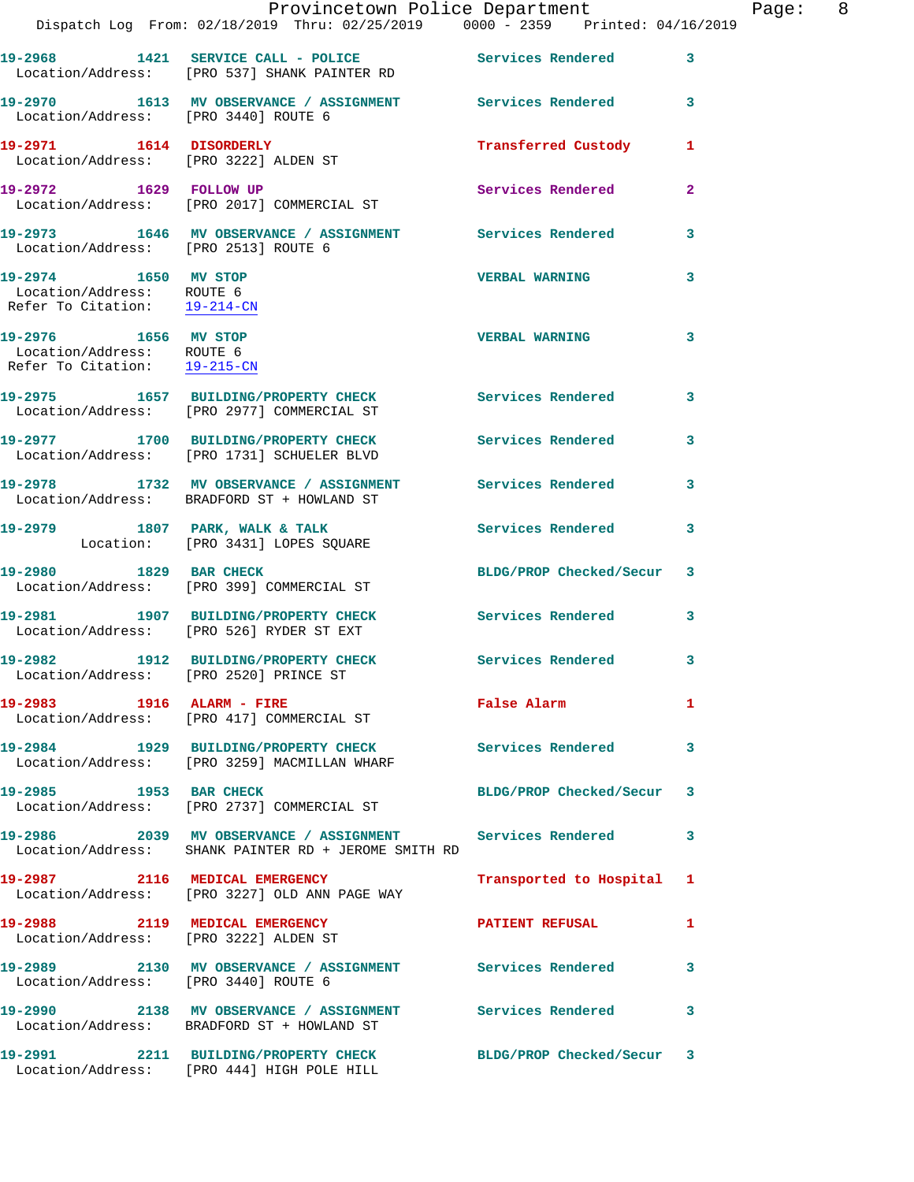|                                                                                   | Dispatch Log From: 02/18/2019 Thru: 02/25/2019 0000 - 2359 Printed: 04/16/2019                                    | Provincetown Police Department |              | Page: 8 |  |
|-----------------------------------------------------------------------------------|-------------------------------------------------------------------------------------------------------------------|--------------------------------|--------------|---------|--|
|                                                                                   | 19-2968 1421 SERVICE CALL - POLICE Services Rendered<br>Location/Address: [PRO 537] SHANK PAINTER RD              |                                | 3            |         |  |
| Location/Address: [PRO 3440] ROUTE 6                                              | 19-2970 1613 MV OBSERVANCE / ASSIGNMENT Services Rendered 3                                                       |                                |              |         |  |
| Location/Address: [PRO 3222] ALDEN ST                                             | 19-2971 1614 DISORDERLY                                                                                           | Transferred Custody 1          |              |         |  |
| 19-2972 1629 FOLLOW UP                                                            | Location/Address: [PRO 2017] COMMERCIAL ST                                                                        | Services Rendered              | $\mathbf{2}$ |         |  |
| Location/Address: [PRO 2513] ROUTE 6                                              | 19-2973 1646 MV OBSERVANCE / ASSIGNMENT Services Rendered                                                         |                                | 3            |         |  |
| 19-2974 1650 MV STOP<br>Location/Address: ROUTE 6<br>Refer To Citation: 19-214-CN |                                                                                                                   | <b>VERBAL WARNING</b>          | 3            |         |  |
| 19-2976 1656 MV STOP<br>Location/Address: ROUTE 6<br>Refer To Citation: 19-215-CN |                                                                                                                   | <b>VERBAL WARNING</b>          | 3            |         |  |
|                                                                                   | 19-2975   1657   BUILDING/PROPERTY CHECK   Services Rendered<br>Location/Address: [PRO 2977] COMMERCIAL ST        |                                | 3            |         |  |
|                                                                                   | 19-2977 1700 BUILDING/PROPERTY CHECK<br>Location/Address: [PRO 1731] SCHUELER BLVD                                | Services Rendered              | 3            |         |  |
|                                                                                   | 19-2978 1732 MV OBSERVANCE / ASSIGNMENT Services Rendered<br>Location/Address: BRADFORD ST + HOWLAND ST           |                                | 3            |         |  |
|                                                                                   | 19-2979 1807 PARK, WALK & TALK<br>Location: [PRO 3431] LOPES SQUARE                                               | Services Rendered              | 3            |         |  |
|                                                                                   | 19-2980 1829 BAR CHECK<br>Location/Address: [PRO 399] COMMERCIAL ST                                               | BLDG/PROP Checked/Secur 3      |              |         |  |
|                                                                                   | 19-2981 1907 BUILDING/PROPERTY CHECK<br>Location/Address: [PRO 526] RYDER ST EXT                                  | Services Rendered              | 3            |         |  |
|                                                                                   | 19-2982 1912 BUILDING/PROPERTY CHECK Services Rendered 3<br>Location/Address: [PRO 2520] PRINCE ST                |                                |              |         |  |
|                                                                                   | 19-2983 1916 ALARM - FIRE<br>Location/Address: [PRO 417] COMMERCIAL ST                                            | False Alarm 1                  |              |         |  |
|                                                                                   | 19-2984 1929 BUILDING/PROPERTY CHECK Services Rendered<br>Location/Address: [PRO 3259] MACMILLAN WHARF            |                                | $\mathbf{3}$ |         |  |
| 19-2985 1953 BAR CHECK                                                            | Location/Address: [PRO 2737] COMMERCIAL ST                                                                        | BLDG/PROP Checked/Secur 3      |              |         |  |
|                                                                                   | 19-2986 2039 MV OBSERVANCE / ASSIGNMENT Services Rendered<br>Location/Address: SHANK PAINTER RD + JEROME SMITH RD |                                | 3            |         |  |
|                                                                                   | 19-2987 2116 MEDICAL EMERGENCY<br>Location/Address: [PRO 3227] OLD ANN PAGE WAY                                   | Transported to Hospital 1      |              |         |  |
|                                                                                   | 19-2988 2119 MEDICAL EMERGENCY<br>Location/Address: [PRO 3222] ALDEN ST                                           | PATIENT REFUSAL                | $\mathbf{1}$ |         |  |
| Location/Address: [PRO 3440] ROUTE 6                                              | 19-2989 2130 MV OBSERVANCE / ASSIGNMENT Services Rendered                                                         |                                | 3            |         |  |
|                                                                                   | 19-2990 2138 MV OBSERVANCE / ASSIGNMENT Services Rendered 3<br>Location/Address: BRADFORD ST + HOWLAND ST         |                                |              |         |  |
|                                                                                   | 19-2991 2211 BUILDING/PROPERTY CHECK BLDG/PROP Checked/Secur 3<br>Location/Address: [PRO 444] HIGH POLE HILL      |                                |              |         |  |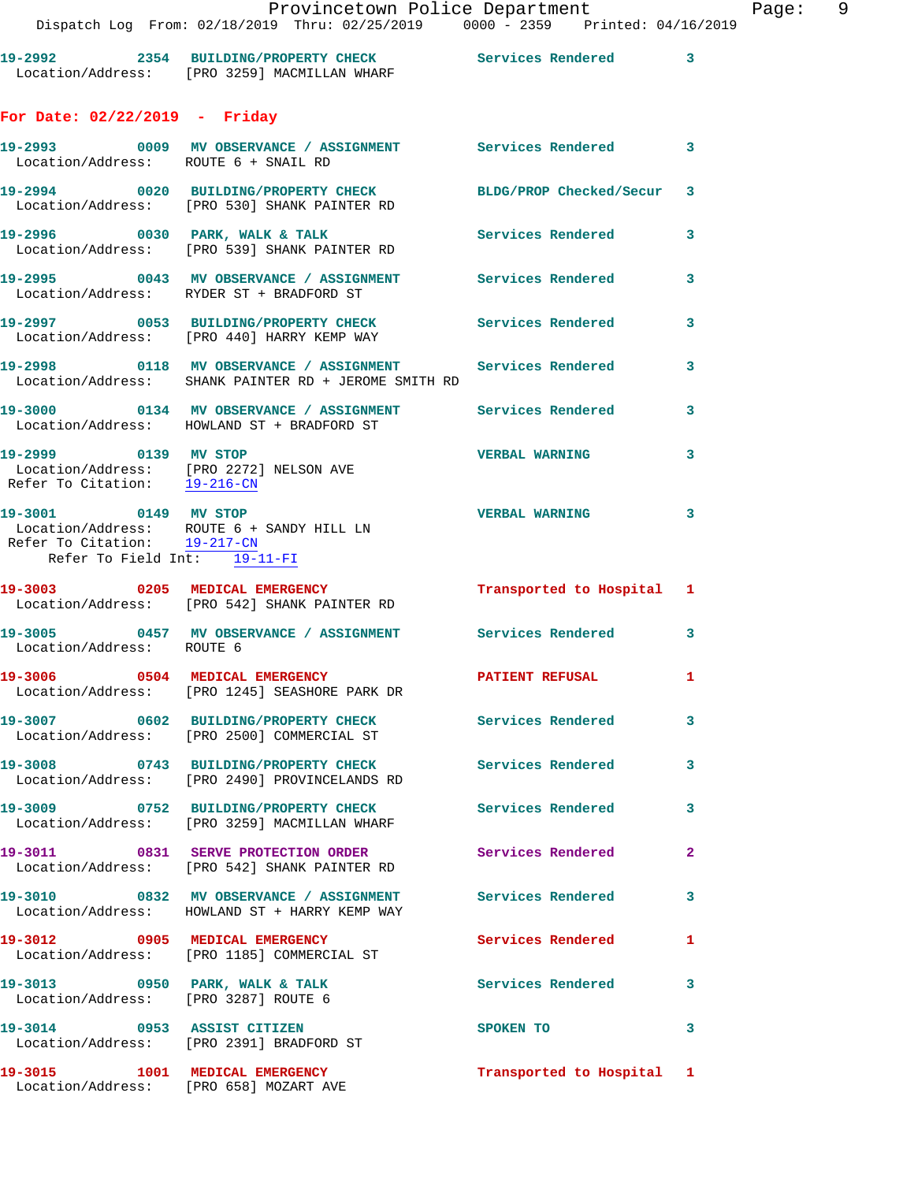|                                                                                      | Dispatch Log From: 02/18/2019 Thru: 02/25/2019 0000 - 2359 Printed: 04/16/                                        |                           |                          |
|--------------------------------------------------------------------------------------|-------------------------------------------------------------------------------------------------------------------|---------------------------|--------------------------|
|                                                                                      | 19-2992 2354 BUILDING/PROPERTY CHECK Services Rendered 3<br>Location/Address: [PRO 3259] MACMILLAN WHARF          |                           |                          |
| For Date: $02/22/2019$ - Friday                                                      |                                                                                                                   |                           |                          |
| Location/Address: ROUTE 6 + SNAIL RD                                                 | 19-2993 6009 MV OBSERVANCE / ASSIGNMENT Services Rendered 3                                                       |                           |                          |
|                                                                                      | 19-2994 0020 BUILDING/PROPERTY CHECK BLDG/PROP Checked/Secur 3<br>Location/Address: [PRO 530] SHANK PAINTER RD    |                           |                          |
|                                                                                      | 19-2996 0030 PARK, WALK & TALK<br>Location/Address: [PRO 539] SHANK PAINTER RD                                    | Services Rendered         | 3                        |
|                                                                                      | 19-2995 0043 MV OBSERVANCE / ASSIGNMENT Services Rendered<br>Location/Address: RYDER ST + BRADFORD ST             |                           | 3                        |
|                                                                                      | 19-2997 0053 BUILDING/PROPERTY CHECK Services Rendered<br>Location/Address: [PRO 440] HARRY KEMP WAY              |                           | 3                        |
|                                                                                      | 19-2998 0118 MV OBSERVANCE / ASSIGNMENT Services Rendered<br>Location/Address: SHANK PAINTER RD + JEROME SMITH RD |                           | 3                        |
|                                                                                      | Location/Address: HOWLAND ST + BRADFORD ST                                                                        |                           | 3                        |
| 19-2999 0139 MV STOP                                                                 | Location/Address: [PRO 2272] NELSON AVE<br>Refer To Citation: 19-216-CN                                           | <b>VERBAL WARNING</b>     | 3                        |
| 19-3001 0149 MV STOP<br>Refer To Citation: 19-217-CN<br>Refer To Field Int: 19-11-FI | Location/Address: ROUTE 6 + SANDY HILL LN                                                                         | <b>VERBAL WARNING</b>     | $\overline{\phantom{a}}$ |
|                                                                                      | 19-3003 0205 MEDICAL EMERGENCY<br>Location/Address: [PRO 542] SHANK PAINTER RD                                    | Transported to Hospital 1 |                          |
| Location/Address: ROUTE 6                                                            | 19-3005 0457 MV OBSERVANCE / ASSIGNMENT Services Rendered 3                                                       |                           |                          |
|                                                                                      | 19-3006 0504 MEDICAL EMERGENCY<br>Location/Address: [PRO 1245] SEASHORE PARK DR                                   | PATIENT REFUSAL 1         |                          |
|                                                                                      | 19-3007 0602 BUILDING/PROPERTY CHECK Services Rendered<br>Location/Address: [PRO 2500] COMMERCIAL ST              |                           | $\mathbf{3}$             |
|                                                                                      | 19-3008 0743 BUILDING/PROPERTY CHECK<br>Location/Address: [PRO 2490] PROVINCELANDS RD                             | <b>Services Rendered</b>  | 3                        |
|                                                                                      | 19-3009 0752 BUILDING/PROPERTY CHECK<br>Location/Address: [PRO 3259] MACMILLAN WHARF                              | <b>Services Rendered</b>  | 3                        |
|                                                                                      | 19-3011 0831 SERVE PROTECTION ORDER<br>Location/Address: [PRO 542] SHANK PAINTER RD                               | Services Rendered         | $\overline{2}$           |
|                                                                                      | 19-3010 0832 MV OBSERVANCE / ASSIGNMENT<br>Location/Address: HOWLAND ST + HARRY KEMP WAY                          | <b>Services Rendered</b>  | 3                        |
|                                                                                      | 19-3012 0905 MEDICAL EMERGENCY<br>Location/Address: [PRO 1185] COMMERCIAL ST                                      | Services Rendered         | $\mathbf{1}$             |
| Location/Address: [PRO 3287] ROUTE 6                                                 | 19-3013 0950 PARK, WALK & TALK                                                                                    | <b>Services Rendered</b>  | 3                        |
| 19-3014 0953 ASSIST CITIZEN                                                          | Location/Address: [PRO 2391] BRADFORD ST                                                                          | SPOKEN TO                 | 3                        |
| 19-3015 1001 MEDICAL EMERGENCY                                                       | Location/Address: [PRO 658] MOZART AVE                                                                            | Transported to Hospital 1 |                          |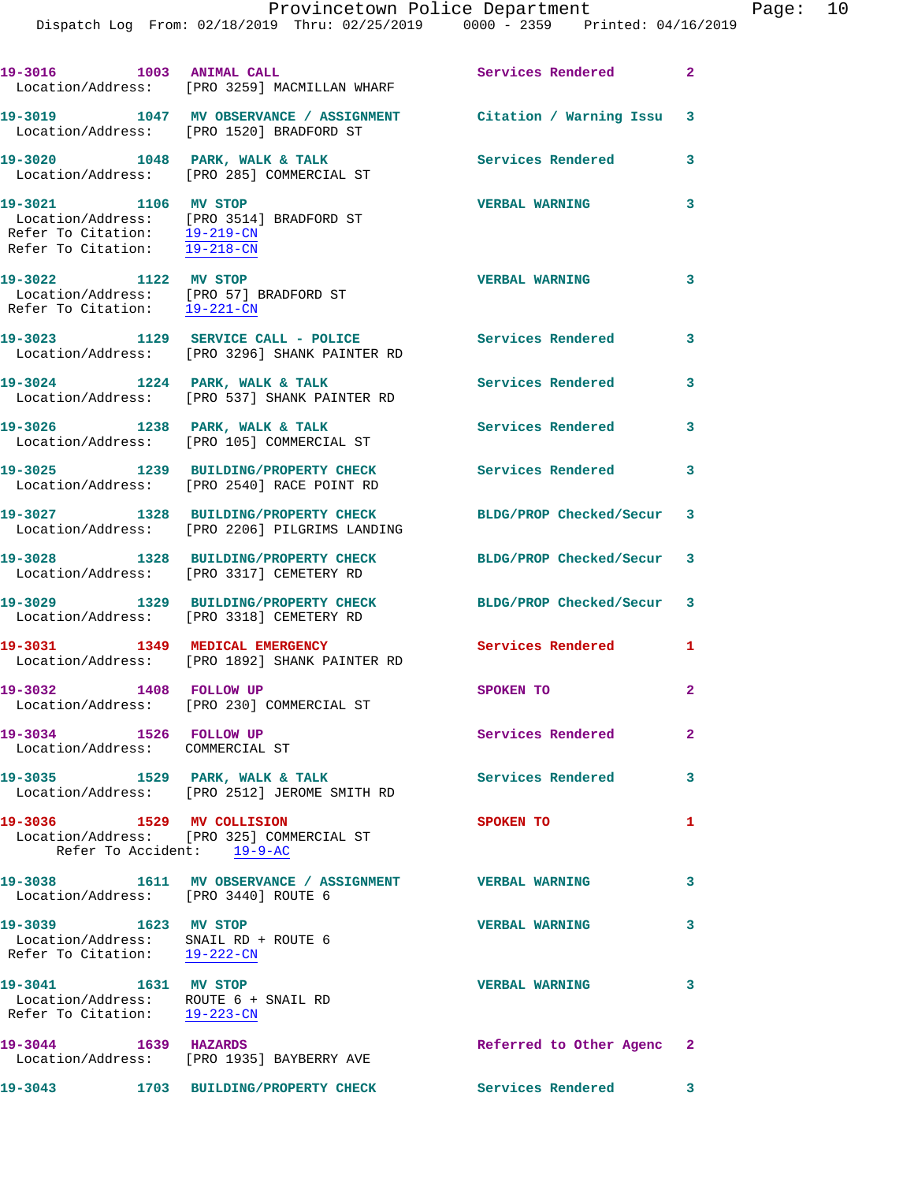| 19-3016 1003 ANIMAL CALL                                                                                  | Location/Address: [PRO 3259] MACMILLAN WHARF                                                                  | Services Rendered 2        |                |
|-----------------------------------------------------------------------------------------------------------|---------------------------------------------------------------------------------------------------------------|----------------------------|----------------|
|                                                                                                           | 19-3019 1047 MV OBSERVANCE / ASSIGNMENT Citation / Warning Issu 3<br>Location/Address: [PRO 1520] BRADFORD ST |                            |                |
|                                                                                                           | 19-3020 1048 PARK, WALK & TALK<br>Location/Address: [PRO 285] COMMERCIAL ST                                   | <b>Services Rendered</b>   | 3              |
| 19-3021 1106 MV STOP<br>Refer To Citation: 19-219-CN<br>Refer To Citation: 19-218-CN                      | Location/Address: [PRO 3514] BRADFORD ST                                                                      | <b>VERBAL WARNING</b>      | 3              |
| 19-3022 1122 MV STOP                                                                                      | Location/Address: [PRO 57] BRADFORD ST<br>Refer To Citation: $\frac{19-221-CN}{19-221-CN}$                    | <b>VERBAL WARNING</b>      | $\mathbf{3}$   |
|                                                                                                           | 19-3023 1129 SERVICE CALL - POLICE<br>Location/Address: [PRO 3296] SHANK PAINTER RD                           | Services Rendered 3        |                |
|                                                                                                           | 19-3024 1224 PARK, WALK & TALK<br>Location/Address: [PRO 537] SHANK PAINTER RD                                | Services Rendered          | 3              |
| 19-3026 1238 PARK, WALK & TALK                                                                            | Location/Address: [PRO 105] COMMERCIAL ST                                                                     | <b>Services Rendered</b>   | 3              |
|                                                                                                           | 19-3025 1239 BUILDING/PROPERTY CHECK<br>Location/Address: [PRO 2540] RACE POINT RD                            | <b>Services Rendered</b>   | 3              |
|                                                                                                           | 19-3027 1328 BUILDING/PROPERTY CHECK<br>Location/Address: [PRO 2206] PILGRIMS LANDING                         | BLDG/PROP Checked/Secur    | 3              |
|                                                                                                           | 19-3028 1328 BUILDING/PROPERTY CHECK<br>Location/Address: [PRO 3317] CEMETERY RD                              | BLDG/PROP Checked/Secur 3  |                |
|                                                                                                           | 19-3029 1329 BUILDING/PROPERTY CHECK<br>Location/Address: [PRO 3318] CEMETERY RD                              | BLDG/PROP Checked/Secur    | 3              |
|                                                                                                           | 19-3031 1349 MEDICAL EMERGENCY<br>Location/Address: [PRO 1892] SHANK PAINTER RD                               | <b>Services Rendered</b> 1 |                |
| 19-3032 1408 FOLLOW UP                                                                                    | Location/Address: [PRO 230] COMMERCIAL ST                                                                     | SPOKEN TO                  | $\overline{a}$ |
| 19-3034 1526 FOLLOW UP<br>Location/Address: COMMERCIAL ST                                                 |                                                                                                               | Services Rendered          | $\mathbf{2}$   |
|                                                                                                           | 19-3035 1529 PARK, WALK & TALK<br>Location/Address: [PRO 2512] JEROME SMITH RD                                | Services Rendered          | 3              |
| Refer To Accident: 19-9-AC                                                                                | 19-3036 1529 MV COLLISION<br>  Location/Address: [PRO 325] COMMERCIAL ST                                      | SPOKEN TO                  | 1              |
| Location/Address: [PRO 3440] ROUTE 6                                                                      | 19-3038 1611 MV OBSERVANCE / ASSIGNMENT                                                                       | <b>VERBAL WARNING</b>      | 3              |
| 19-3039 1623 MV STOP<br>Location/Address: SNAIL RD + ROUTE 6<br>Refer To Citation: $19-222-CN$            |                                                                                                               | <b>VERBAL WARNING</b>      | 3              |
| 19-3041 1631 MV STOP<br>Location/Address: ROUTE 6 + SNAIL RD<br>Refer To Citation: $\frac{19-223-CN}{\ }$ |                                                                                                               | <b>VERBAL WARNING</b>      | 3              |
| 19-3044 1639 HAZARDS                                                                                      | Location/Address: [PRO 1935] BAYBERRY AVE                                                                     | Referred to Other Agenc 2  |                |
| 19-3043                                                                                                   | 1703 BUILDING/PROPERTY CHECK                                                                                  | <b>Services Rendered</b>   | 3              |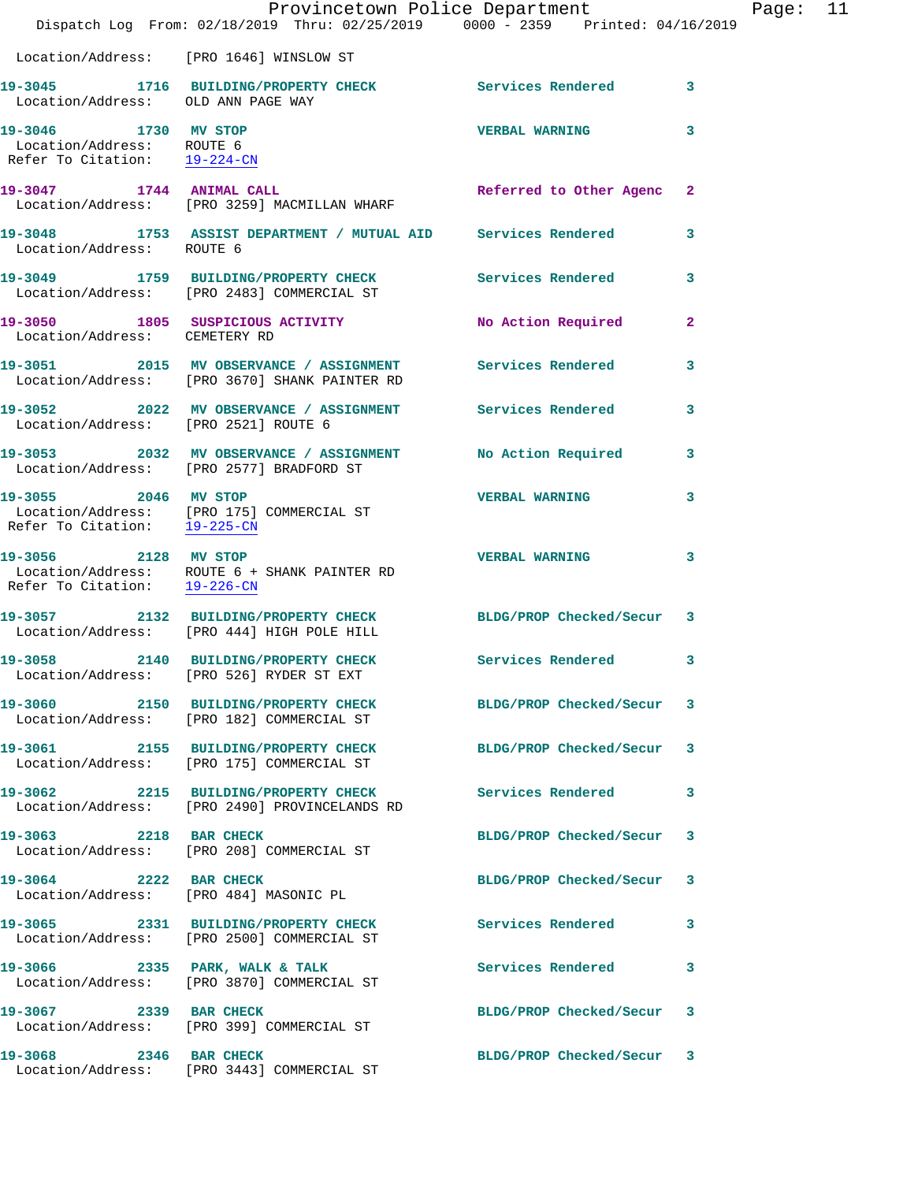|                                                                                   | Dispatch Log From: 02/18/2019 Thru: 02/25/2019 0000 - 2359 Printed: 04/16/2019                               | Provincetown Police Department |              | Page: 11 |  |
|-----------------------------------------------------------------------------------|--------------------------------------------------------------------------------------------------------------|--------------------------------|--------------|----------|--|
|                                                                                   | Location/Address: [PRO 1646] WINSLOW ST                                                                      |                                |              |          |  |
| Location/Address: OLD ANN PAGE WAY                                                | 19-3045 1716 BUILDING/PROPERTY CHECK Services Rendered 3                                                     |                                |              |          |  |
| 19-3046 1730 MV STOP<br>Location/Address: ROUTE 6<br>Refer To Citation: 19-224-CN |                                                                                                              | <b>VERBAL WARNING</b>          | 3            |          |  |
| 19-3047 1744 ANIMAL CALL                                                          | Location/Address: [PRO 3259] MACMILLAN WHARF                                                                 | Referred to Other Agenc 2      |              |          |  |
| Location/Address: ROUTE 6                                                         | 19-3048 1753 ASSIST DEPARTMENT / MUTUAL AID Services Rendered                                                |                                | $\mathbf{3}$ |          |  |
|                                                                                   | 19-3049 1759 BUILDING/PROPERTY CHECK<br>Location/Address: [PRO 2483] COMMERCIAL ST                           | Services Rendered              | $\mathbf{3}$ |          |  |
| Location/Address: CEMETERY RD                                                     | 19-3050 1805 SUSPICIOUS ACTIVITY                                                                             | No Action Required             | $\mathbf{2}$ |          |  |
|                                                                                   | 19-3051 2015 MV OBSERVANCE / ASSIGNMENT Services Rendered<br>Location/Address: [PRO 3670] SHANK PAINTER RD   |                                | 3            |          |  |
| Location/Address: [PRO 2521] ROUTE 6                                              | 19-3052 2022 MV OBSERVANCE / ASSIGNMENT Services Rendered 3                                                  |                                |              |          |  |
|                                                                                   | 19-3053 2032 MV OBSERVANCE / ASSIGNMENT No Action Required<br>Location/Address: [PRO 2577] BRADFORD ST       |                                | $\mathbf{3}$ |          |  |
| 19-3055 2046 MV STOP                                                              | Location/Address: [PRO 175] COMMERCIAL ST<br>Refer To Citation: 19-225-CN                                    | <b>VERBAL WARNING</b>          | 3            |          |  |
| Refer To Citation: 19-226-CN                                                      | 19-3056 2128 MV STOP<br>Location/Address: ROUTE 6 + SHANK PAINTER RD                                         | <b>VERBAL WARNING</b>          | 3            |          |  |
|                                                                                   | 19-3057 2132 BUILDING/PROPERTY CHECK BLDG/PROP Checked/Secur 3<br>Location/Address: [PRO 444] HIGH POLE HILL |                                |              |          |  |
|                                                                                   | 19-3058 2140 BUILDING/PROPERTY CHECK Services Rendered 3<br>Location/Address: [PRO 526] RYDER ST EXT         |                                |              |          |  |
|                                                                                   | 19-3060 2150 BUILDING/PROPERTY CHECK BLDG/PROP Checked/Secur 3<br>Location/Address: [PRO 182] COMMERCIAL ST  |                                |              |          |  |
|                                                                                   | 19-3061 2155 BUILDING/PROPERTY CHECK<br>Location/Address: [PRO 175] COMMERCIAL ST                            | BLDG/PROP Checked/Secur 3      |              |          |  |
|                                                                                   | 19-3062 2215 BUILDING/PROPERTY CHECK Services Rendered 3<br>Location/Address: [PRO 2490] PROVINCELANDS RD    |                                |              |          |  |
|                                                                                   | 19-3063 2218 BAR CHECK<br>Location/Address: [PRO 208] COMMERCIAL ST                                          | BLDG/PROP Checked/Secur 3      |              |          |  |
| 19-3064 2222 BAR CHECK                                                            | Location/Address: [PRO 484] MASONIC PL                                                                       | BLDG/PROP Checked/Secur 3      |              |          |  |
|                                                                                   | Location/Address: [PRO 2500] COMMERCIAL ST                                                                   |                                | 3            |          |  |
|                                                                                   | 19-3066 2335 PARK, WALK & TALK<br>Location/Address: [PRO 3870] COMMERCIAL ST                                 | Services Rendered              | 3            |          |  |
|                                                                                   | 19-3067 2339 BAR CHECK<br>Location/Address: [PRO 399] COMMERCIAL ST                                          | BLDG/PROP Checked/Secur 3      |              |          |  |
| 19-3068 2346 BAR CHECK                                                            | Location/Address: [PRO 3443] COMMERCIAL ST                                                                   | BLDG/PROP Checked/Secur 3      |              |          |  |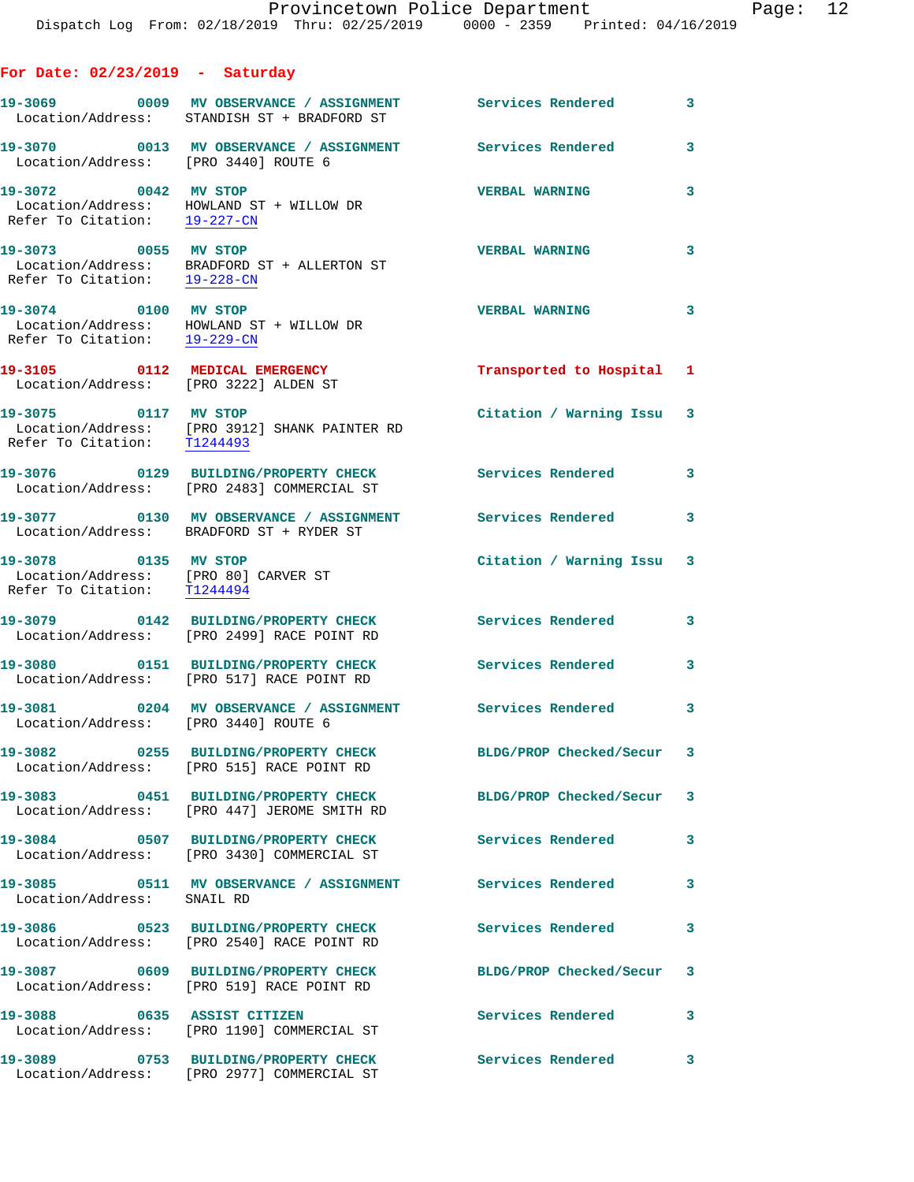**For Date: 02/23/2019 - Saturday**

19-3069 **0009 MV OBSERVANCE / ASSIGNMENT** Services Rendered 3 Location/Address: STANDISH ST + BRADFORD ST **19-3070 0013 MV OBSERVANCE / ASSIGNMENT Services Rendered 3**  Location/Address: [PRO 3440] ROUTE 6 **19-3072 0042 MV STOP VERBAL WARNING 3**  Location/Address: HOWLAND ST + WILLOW DR Refer To Citation: 19-227-CN **19-3073 0055 MV STOP VERBAL WARNING 3**  Location/Address: BRADFORD ST + ALLERTON ST Refer To Citation: 19-228-CN **19-3074 0100 MV STOP VERBAL WARNING 3**  Location/Address: HOWLAND ST + WILLOW DR Refer To Citation: 19-229-CN **19-3105 0112 MEDICAL EMERGENCY Transported to Hospital 1**  Location/Address: [PRO 3222] ALDEN ST **19-3075 0117 MV STOP Citation / Warning Issu 3**  Location/Address: [PRO 3912] SHANK PAINTER RD Refer To Citation: T1244493 **19-3076 0129 BUILDING/PROPERTY CHECK Services Rendered 3**  Location/Address: [PRO 2483] COMMERCIAL ST **19-3077 0130 MV OBSERVANCE / ASSIGNMENT Services Rendered 3**  Location/Address: BRADFORD ST + RYDER ST **19-3078 0135 MV STOP Citation / Warning Issu 3**  Location/Address: [PRO 80] CARVER ST Refer To Citation: T1244494 **19-3079 0142 BUILDING/PROPERTY CHECK Services Rendered 3**  Location/Address: [PRO 2499] RACE POINT RD **19-3080 0151 BUILDING/PROPERTY CHECK Services Rendered 3**  Location/Address: [PRO 517] RACE POINT RD **19-3081 0204 MV OBSERVANCE / ASSIGNMENT Services Rendered 3**  Location/Address: [PRO 3440] ROUTE 6 **19-3082 0255 BUILDING/PROPERTY CHECK BLDG/PROP Checked/Secur 3**  Location/Address: [PRO 515] RACE POINT RD **19-3083 0451 BUILDING/PROPERTY CHECK BLDG/PROP Checked/Secur 3**  Location/Address: [PRO 447] JEROME SMITH RD **19-3084 0507 BUILDING/PROPERTY CHECK Services Rendered 3**  Location/Address: [PRO 3430] COMMERCIAL ST **19-3085 0511 MV OBSERVANCE / ASSIGNMENT Services Rendered 3**  Location/Address: SNAIL RD **19-3086 0523 BUILDING/PROPERTY CHECK Services Rendered 3**  Location/Address: [PRO 2540] RACE POINT RD **19-3087 0609 BUILDING/PROPERTY CHECK BLDG/PROP Checked/Secur 3**  Location/Address: [PRO 519] RACE POINT RD **19-3088 0635 ASSIST CITIZEN Services Rendered 3**  Location/Address: [PRO 1190] COMMERCIAL ST **19-3089 0753 BUILDING/PROPERTY CHECK Services Rendered 3**  Location/Address: [PRO 2977] COMMERCIAL ST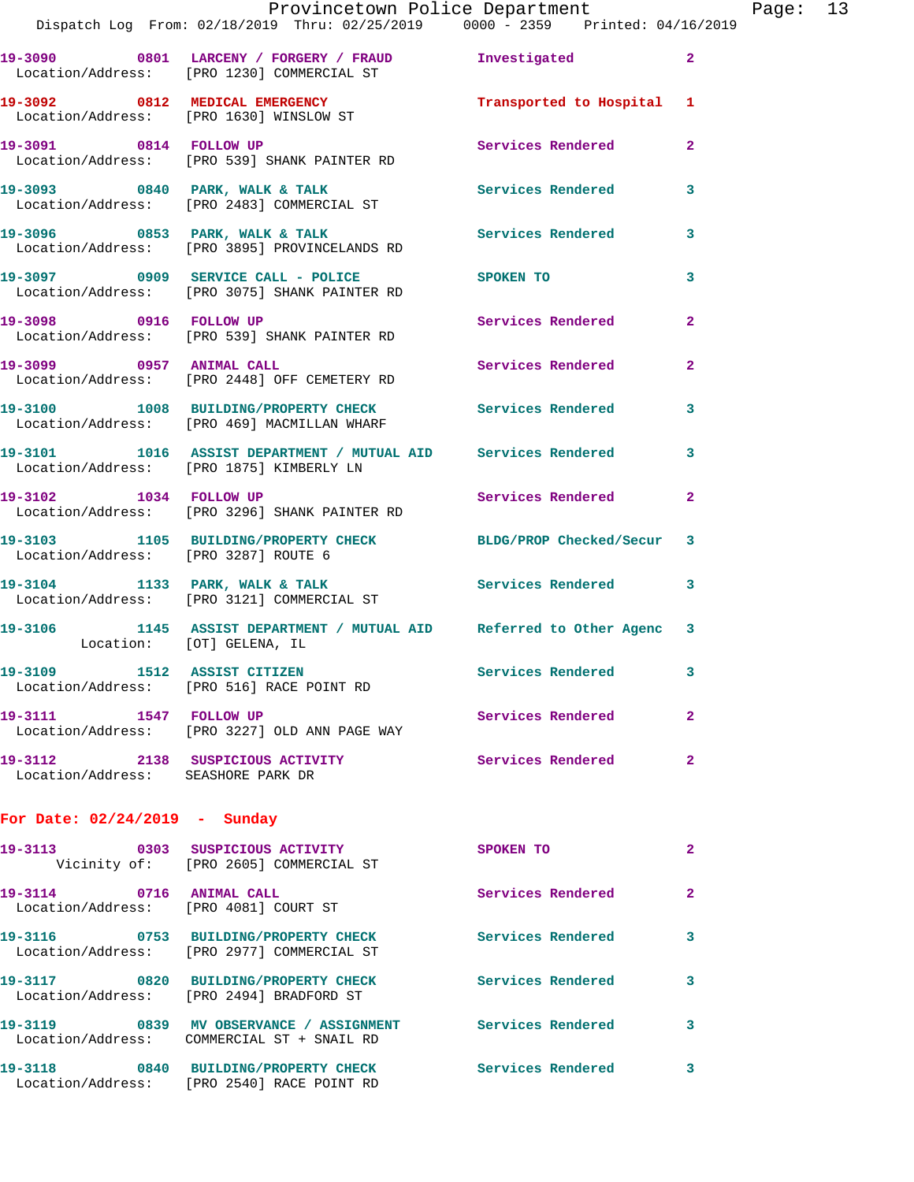| Provincetown Police Department |  |  |  |  |                                                                                                  | Page: $13$ |  |  |
|--------------------------------|--|--|--|--|--------------------------------------------------------------------------------------------------|------------|--|--|
|                                |  |  |  |  | 1 From: 02/18/2019 Thru: 02/25/2019                0000 - 2359               Printed: 04/16/2019 |            |  |  |
|                                |  |  |  |  |                                                                                                  |            |  |  |

|                                                                        | Dispatch Log From: 02/18/2019 Thru: 02/25/2019 0000 - 2359 Printed: 04/16/2019                            |                          |                |
|------------------------------------------------------------------------|-----------------------------------------------------------------------------------------------------------|--------------------------|----------------|
|                                                                        | 19-3090 0801 LARCENY / FORGERY / FRAUD Investigated<br>Location/Address: [PRO 1230] COMMERCIAL ST         |                          | $\mathbf{2}$   |
|                                                                        | 19-3092 0812 MEDICAL EMERGENCY<br>Location/Address: [PRO 1630] WINSLOW ST                                 | Transported to Hospital  | 1              |
|                                                                        | 19-3091 0814 FOLLOW UP<br>Location/Address: [PRO 539] SHANK PAINTER RD                                    | <b>Services Rendered</b> | $\overline{2}$ |
|                                                                        | 19-3093 0840 PARK, WALK & TALK<br>Location/Address: [PRO 2483] COMMERCIAL ST                              | <b>Services Rendered</b> | 3              |
|                                                                        | 19-3096 0853 PARK, WALK & TALK<br>Location/Address: [PRO 3895] PROVINCELANDS RD                           | Services Rendered        | 3              |
|                                                                        | 19-3097 0909 SERVICE CALL - POLICE<br>Location/Address: [PRO 3075] SHANK PAINTER RD                       | <b>SPOKEN TO</b>         | 3              |
| 19-3098 0916 FOLLOW UP                                                 | Location/Address: [PRO 539] SHANK PAINTER RD                                                              | <b>Services Rendered</b> | $\overline{2}$ |
|                                                                        | 19-3099 0957 ANIMAL CALL<br>Location/Address: [PRO 2448] OFF CEMETERY RD                                  | Services Rendered        | $\mathbf{2}$   |
|                                                                        | 19-3100 1008 BUILDING/PROPERTY CHECK Services Rendered<br>Location/Address: [PRO 469] MACMILLAN WHARF     |                          | 3              |
|                                                                        | 19-3101 1016 ASSIST DEPARTMENT / MUTUAL AID Services Rendered<br>Location/Address: [PRO 1875] KIMBERLY LN |                          | 3              |
| 19-3102 1034 FOLLOW UP                                                 | Location/Address: [PRO 3296] SHANK PAINTER RD                                                             | <b>Services Rendered</b> | $\overline{2}$ |
| Location/Address: [PRO 3287] ROUTE 6                                   | 19-3103 1105 BUILDING/PROPERTY CHECK BLDG/PROP Checked/Secur                                              |                          | 3              |
|                                                                        | 19-3104 1133 PARK, WALK & TALK<br>Location/Address: [PRO 3121] COMMERCIAL ST                              | Services Rendered        | 3              |
|                                                                        | 19-3106 1145 ASSIST DEPARTMENT / MUTUAL AID Referred to Other Agenc<br>Location: [OT] GELENA, IL          |                          | 3              |
| 19-3109 1512 ASSIST CITIZEN                                            | Location/Address: [PRO 516] RACE POINT RD                                                                 | Services Rendered        | 3              |
| 19-3111 1547 FOLLOW UP                                                 | Location/Address: [PRO 3227] OLD ANN PAGE WAY                                                             | Services Rendered        | 2              |
| 19-3112 2138 SUSPICIOUS ACTIVITY<br>Location/Address: SEASHORE PARK DR |                                                                                                           | Services Rendered        | $\overline{a}$ |
| For Date: $02/24/2019$ - Sunday                                        |                                                                                                           |                          |                |
|                                                                        |                                                                                                           |                          |                |

| 19-3113<br>0303                      | SUSPICIOUS ACTIVITY<br>Vicinity of: [PRO 2605] COMMERCIAL ST             | <b>SPOKEN TO</b>  | $\overline{2}$ |
|--------------------------------------|--------------------------------------------------------------------------|-------------------|----------------|
| 19-3114<br>0716<br>Location/Address: | <b>ANIMAL CALL</b><br>[PRO 4081] COURT ST                                | Services Rendered | $\mathbf{2}$   |
| 19–3116<br>0753<br>Location/Address: | <b>BUILDING/PROPERTY CHECK</b><br>[PRO 2977] COMMERCIAL ST               | Services Rendered | 3              |
| 0820<br>19-3117<br>Location/Address: | BUILDING/PROPERTY CHECK<br>[PRO 2494] BRADFORD ST                        | Services Rendered | 3              |
| 19–3119<br>0839                      | MV OBSERVANCE / ASSIGNMENT<br>Location/Address: COMMERCIAL ST + SNAIL RD | Services Rendered | 3              |
| 19-3118<br>0840<br>Location/Address: | <b>BUILDING/PROPERTY CHECK</b><br>FPRO 25401 RACE POINT RD               | Services Rendered | 3              |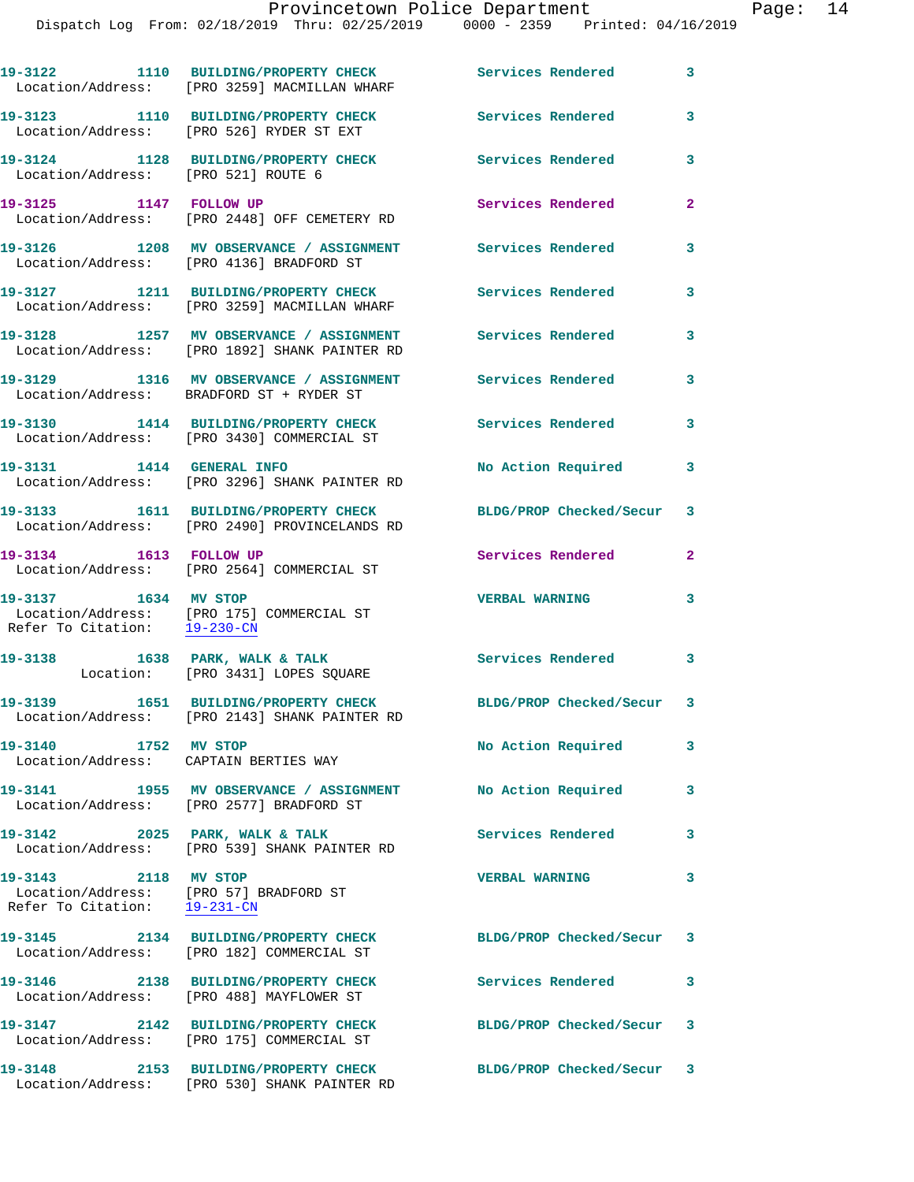Dispatch Log From: 02/18/2019 Thru: 02/25/2019 0000 - 2359 Printed: 04/16/2019

|                                                      | 19-3122 1110 BUILDING/PROPERTY CHECK<br>Location/Address: [PRO 3259] MACMILLAN WHARF                           | <b>Services Rendered</b>  | 3              |
|------------------------------------------------------|----------------------------------------------------------------------------------------------------------------|---------------------------|----------------|
|                                                      | 19-3123 1110 BUILDING/PROPERTY CHECK<br>Location/Address: [PRO 526] RYDER ST EXT                               | <b>Services Rendered</b>  | 3              |
| Location/Address: [PRO 521] ROUTE 6                  | 19-3124 1128 BUILDING/PROPERTY CHECK                                                                           | <b>Services Rendered</b>  | 3              |
| 19-3125 1147 FOLLOW UP                               | Location/Address: [PRO 2448] OFF CEMETERY RD                                                                   | Services Rendered         | $\overline{a}$ |
|                                                      | 19-3126 1208 MV OBSERVANCE / ASSIGNMENT Services Rendered<br>Location/Address: [PRO 4136] BRADFORD ST          |                           | 3              |
|                                                      | 19-3127 1211 BUILDING/PROPERTY CHECK<br>Location/Address: [PRO 3259] MACMILLAN WHARF                           | Services Rendered         | 3              |
|                                                      | 19-3128 1257 MV OBSERVANCE / ASSIGNMENT<br>Location/Address: [PRO 1892] SHANK PAINTER RD                       | Services Rendered         | 3              |
|                                                      | 19-3129 1316 MV OBSERVANCE / ASSIGNMENT<br>Location/Address: BRADFORD ST + RYDER ST                            | Services Rendered         | 3              |
|                                                      | 19-3130 1414 BUILDING/PROPERTY CHECK<br>Location/Address: [PRO 3430] COMMERCIAL ST                             | <b>Services Rendered</b>  | 3              |
| 19-3131 1414 GENERAL INFO                            | Location/Address: [PRO 3296] SHANK PAINTER RD                                                                  | No Action Required        | 3              |
|                                                      | 19-3133 1611 BUILDING/PROPERTY CHECK<br>Location/Address: [PRO 2490] PROVINCELANDS RD                          | BLDG/PROP Checked/Secur 3 |                |
| 19-3134 1613 FOLLOW UP                               | Location/Address: [PRO 2564] COMMERCIAL ST                                                                     | Services Rendered         | $\overline{a}$ |
| 19-3137 1634 MV STOP<br>Refer To Citation: 19-230-CN | Location/Address: [PRO 175] COMMERCIAL ST                                                                      | <b>VERBAL WARNING</b>     | 3              |
|                                                      | 19-3138 1638 PARK, WALK & TALK<br>Location: [PRO 3431] LOPES SQUARE                                            | Services Rendered 3       |                |
|                                                      | 19-3139 1651 BUILDING/PROPERTY CHECK<br>Location/Address: [PRO 2143] SHANK PAINTER RD                          | BLDG/PROP Checked/Secur 3 |                |
| 19-3140 1752 MV STOP                                 | Location/Address: CAPTAIN BERTIES WAY                                                                          | No Action Required        | 3              |
|                                                      | 19-3141 1955 MV OBSERVANCE / ASSIGNMENT No Action Required<br>Location/Address: [PRO 2577] BRADFORD ST         |                           | 3              |
| 19-3142 2025 PARK, WALK & TALK                       | Location/Address: [PRO 539] SHANK PAINTER RD                                                                   | Services Rendered         | 3              |
| 19-3143 2118 MV STOP<br>Refer To Citation: 19-231-CN | Location/Address: [PRO 57] BRADFORD ST                                                                         | <b>VERBAL WARNING</b>     | 3              |
|                                                      | 19-3145 2134 BUILDING/PROPERTY CHECK<br>Location/Address: [PRO 182] COMMERCIAL ST                              | BLDG/PROP Checked/Secur 3 |                |
|                                                      | 19-3146 2138 BUILDING/PROPERTY CHECK<br>Location/Address: [PRO 488] MAYFLOWER ST                               | Services Rendered         | 3              |
|                                                      | 19-3147 2142 BUILDING/PROPERTY CHECK BLDG/PROP Checked/Secur 3<br>Location/Address: [PRO 175] COMMERCIAL ST    |                           |                |
|                                                      | 19-3148 2153 BUILDING/PROPERTY CHECK BLDG/PROP Checked/Secur 3<br>Location/Address: [PRO 530] SHANK PAINTER RD |                           |                |
|                                                      |                                                                                                                |                           |                |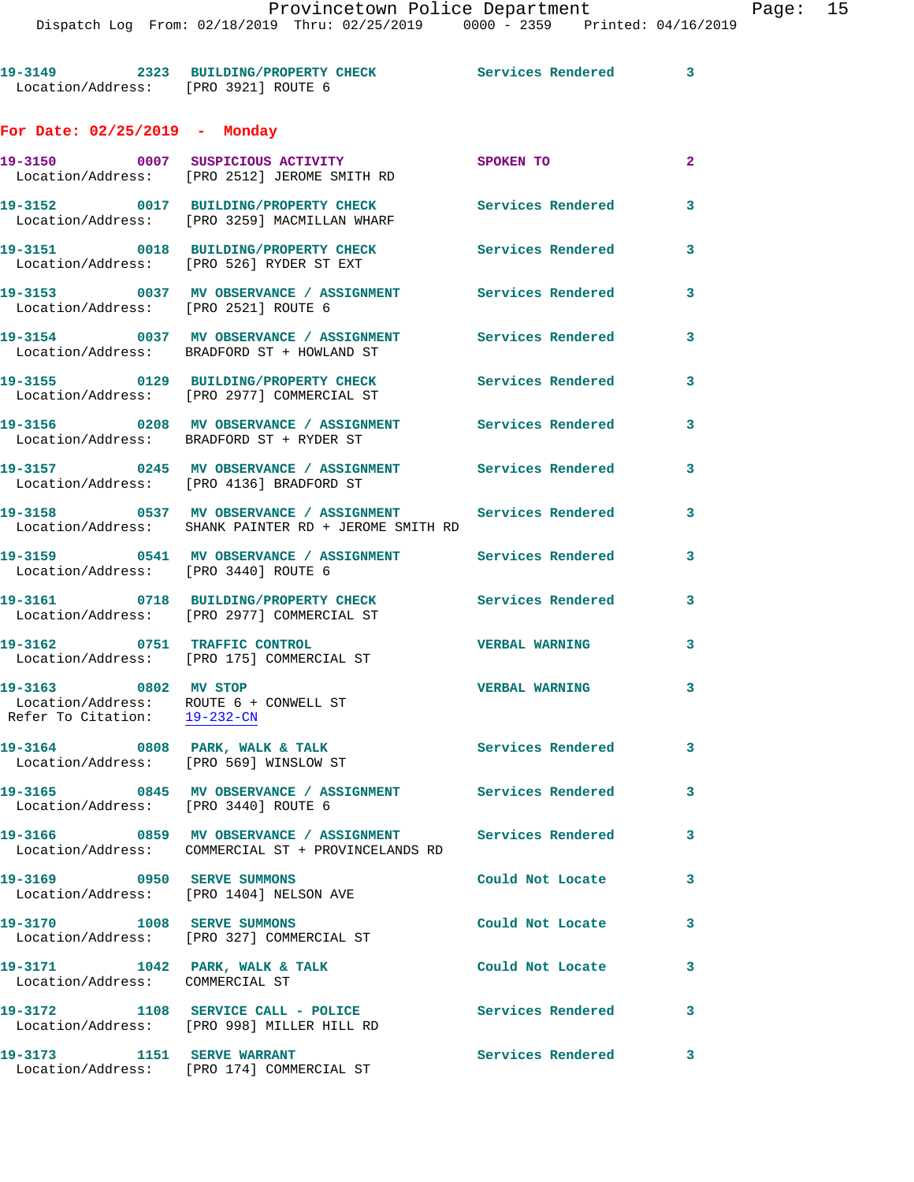**19-3149 2323 BUILDING/PROPERTY CHECK Services Rendered 3**  Location/Address: [PRO 3921] ROUTE 6 **For Date: 02/25/2019 - Monday 19-3150 0007 SUSPICIOUS ACTIVITY SPOKEN TO 2**  Location/Address: [PRO 2512] JEROME SMITH RD **19-3152 0017 BUILDING/PROPERTY CHECK Services Rendered 3**  Location/Address: [PRO 3259] MACMILLAN WHARF **19-3151 0018 BUILDING/PROPERTY CHECK Services Rendered 3**  Location/Address: [PRO 526] RYDER ST EXT **19-3153 0037 MV OBSERVANCE / ASSIGNMENT Services Rendered 3**  Location/Address: [PRO 2521] ROUTE 6 **19-3154 0037 MV OBSERVANCE / ASSIGNMENT Services Rendered 3**  Location/Address: BRADFORD ST + HOWLAND ST **19-3155 0129 BUILDING/PROPERTY CHECK Services Rendered 3**  Location/Address: [PRO 2977] COMMERCIAL ST **19-3156 0208 MV OBSERVANCE / ASSIGNMENT Services Rendered 3**  Location/Address: BRADFORD ST + RYDER ST **19-3157 0245 MV OBSERVANCE / ASSIGNMENT Services Rendered 3**  Location/Address: [PRO 4136] BRADFORD ST **19-3158 0537 MV OBSERVANCE / ASSIGNMENT Services Rendered 3**  Location/Address: SHANK PAINTER RD + JEROME SMITH RD **19-3159 0541 MV OBSERVANCE / ASSIGNMENT Services Rendered 3**  Location/Address: [PRO 3440] ROUTE 6 **19-3161 0718 BUILDING/PROPERTY CHECK Services Rendered 3**  Location/Address: [PRO 2977] COMMERCIAL ST **19-3162 0751 TRAFFIC CONTROL VERBAL WARNING 3**  Location/Address: [PRO 175] COMMERCIAL ST **19-3163 0802 MV STOP VERBAL WARNING 3**  Location/Address: ROUTE 6 + CONWELL ST Refer To Citation: 19-232-CN 19-3164 0808 PARK, WALK & TALK **Services Rendered** 3 Location/Address: [PRO 569] WINSLOW ST **19-3165 0845 MV OBSERVANCE / ASSIGNMENT Services Rendered 3**  Location/Address: [PRO 3440] ROUTE 6 **19-3166 0859 MV OBSERVANCE / ASSIGNMENT Services Rendered 3**  Location/Address: COMMERCIAL ST + PROVINCELANDS RD **19-3169 0950 SERVE SUMMONS Could Not Locate 3**  Location/Address: [PRO 1404] NELSON AVE **19-3170 1008 SERVE SUMMONS Could Not Locate 3**  Location/Address: [PRO 327] COMMERCIAL ST **19-3171 1042 PARK, WALK & TALK Could Not Locate 3**  Location/Address: COMMERCIAL ST **19-3172 1108 SERVICE CALL - POLICE Services Rendered 3**  Location/Address: [PRO 998] MILLER HILL RD

**19-3173 1151 SERVE WARRANT Services Rendered 3**  Location/Address: [PRO 174] COMMERCIAL ST